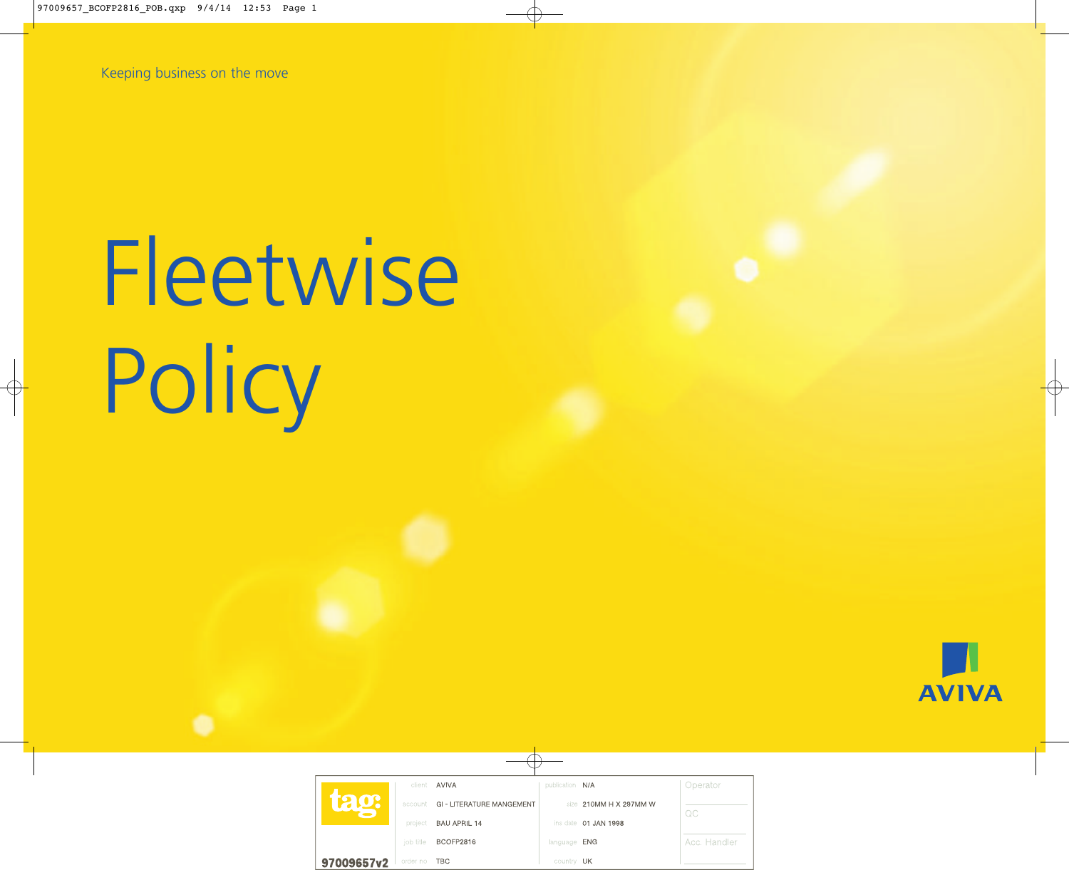Keeping business on the move

# Fleetwise Policy

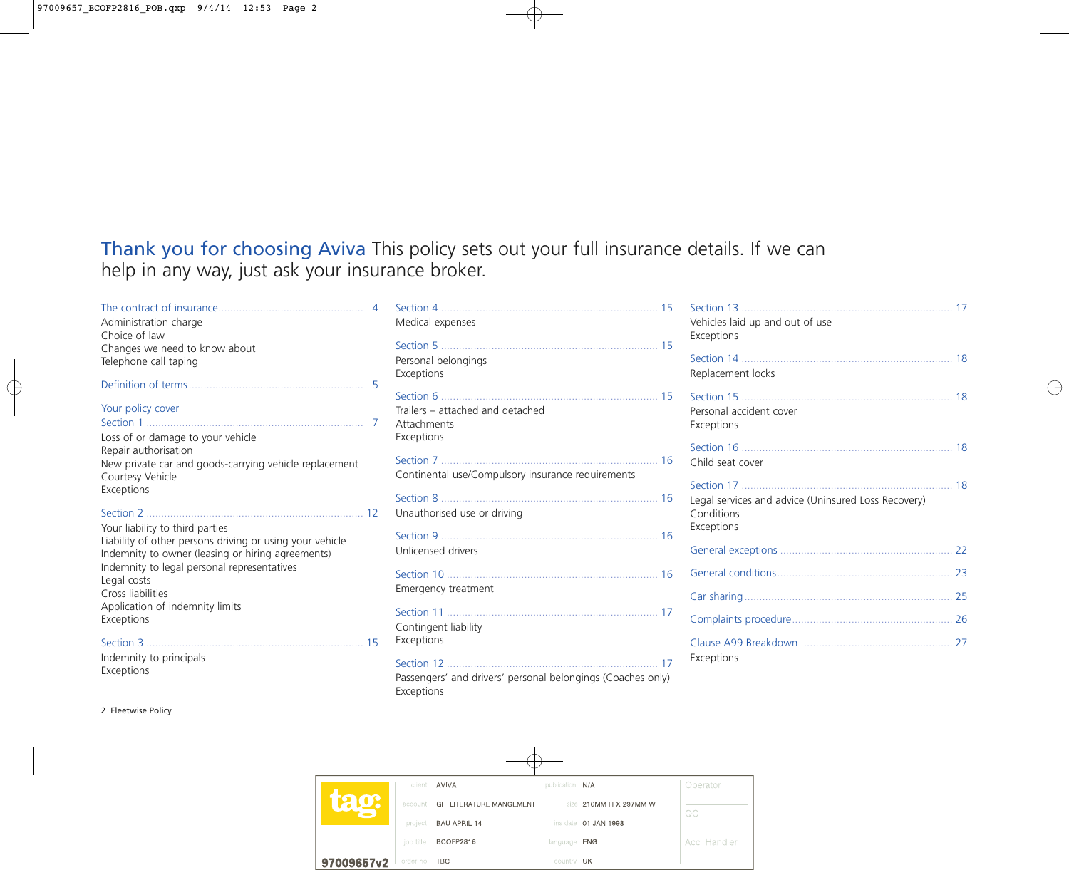# Thank you for choosing Aviva This policy sets out your full insurance details. If we can help in any way, just ask your insurance broker.

# Administration charge Choice of law Changes we need to know about Telephone call taping Definition of terms........................................................... 5 Your policy cover Section 1 ......................................................................... 7 Loss of or damage to your vehicle Repair authorisation New private car and goods-carrying vehicle replacement Courtesy Vehicle Exceptions Section 2 ......................................................................... 12 Your liability to third parties Liability of other persons driving or using your vehicle Indemnity to owner (leasing or hiring agreements) Indemnity to legal personal representatives Legal costs Cross liabilities Application of indemnity limits Exceptions Section 3 ......................................................................... 15

Indemnity to principals Exceptions

| Administration charge                                    | Medical expenses                                  |  |
|----------------------------------------------------------|---------------------------------------------------|--|
| Choice of law                                            |                                                   |  |
| Changes we need to know about                            |                                                   |  |
| Telephone call taping                                    | Personal belongings                               |  |
|                                                          | Exceptions                                        |  |
|                                                          | $\overline{5}$                                    |  |
|                                                          |                                                   |  |
| Your policy cover                                        | Trailers - attached and detached                  |  |
|                                                          | Attachments                                       |  |
| Loss of or damage to your vehicle                        | Exceptions                                        |  |
| Repair authorisation                                     |                                                   |  |
| New private car and goods-carrying vehicle replacement   |                                                   |  |
| Courtesy Vehicle                                         | Continental use/Compulsory insurance requirements |  |
| Exceptions                                               |                                                   |  |
|                                                          | Unauthorised use or driving                       |  |
| Your liability to third parties                          |                                                   |  |
| Liability of other persons driving or using your vehicle |                                                   |  |
| Indemnity to owner (leasing or hiring agreements)        | Unlicensed drivers                                |  |
| Indemnity to legal personal representatives              |                                                   |  |
| Legal costs                                              |                                                   |  |
| Cross liabilities                                        | Emergency treatment                               |  |
| Application of indemnity limits                          |                                                   |  |
| Exceptions                                               |                                                   |  |
|                                                          | Contingent liability                              |  |
|                                                          | Exceptions                                        |  |
| Indemnity to principals                                  |                                                   |  |
|                                                          |                                                   |  |

Passengers' and drivers' personal belongings (Coaches only) Exceptions

| Vehicles laid up and out of use<br>Exceptions                                   |    |
|---------------------------------------------------------------------------------|----|
| Replacement locks                                                               |    |
| Personal accident cover<br>Exceptions                                           |    |
| Child seat cover                                                                |    |
| Legal services and advice (Uninsured Loss Recovery)<br>Conditions<br>Exceptions | 18 |
|                                                                                 |    |
|                                                                                 |    |
|                                                                                 |    |
|                                                                                 |    |
| Exceptions                                                                      |    |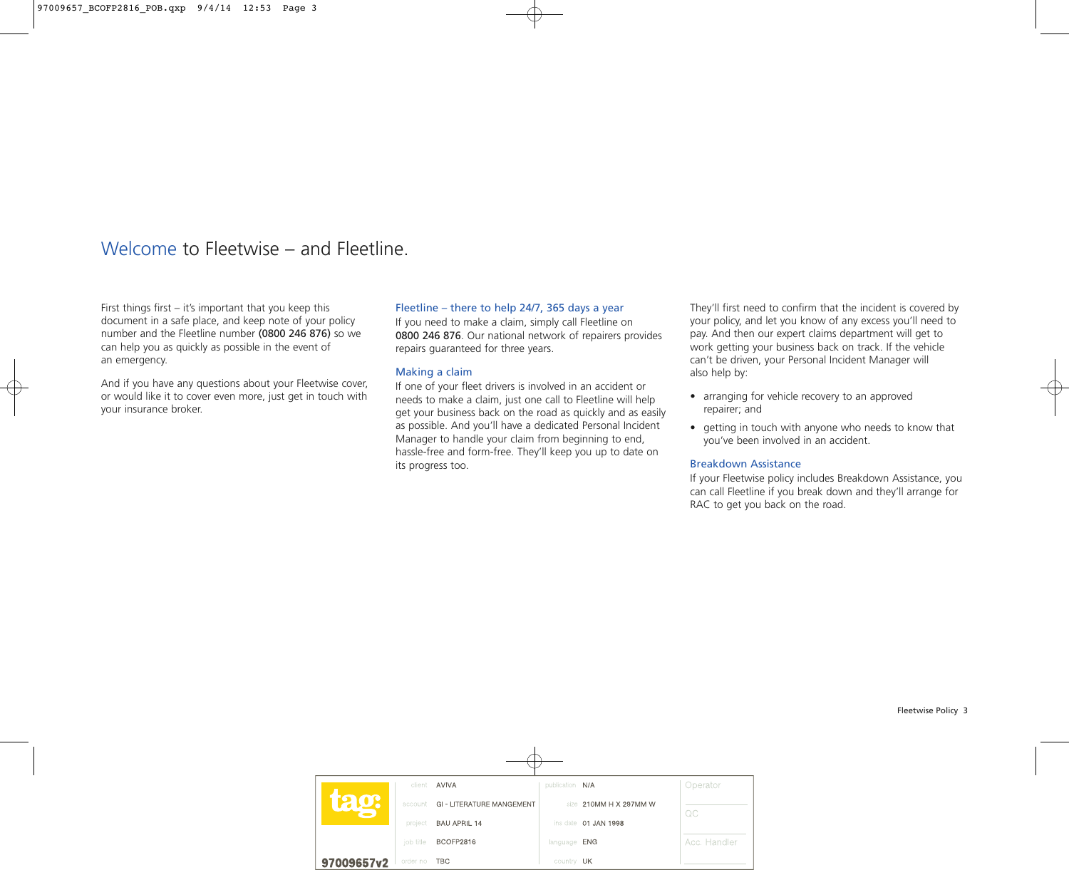# Welcome to Fleetwise – and Fleetline.

First things first – it's important that you keep this document in a safe place, and keep note of your policy number and the Fleetline number (0800 246 876) so we can help you as quickly as possible in the event of an emergency.

And if you have any questions about your Fleetwise cover, or would like it to cover even more, just get in touch with your insurance broker.

#### Fleetline – there to help 24/7, 365 days a year

If you need to make a claim, simply call Fleetline on 0800 246 876. Our national network of repairers provides repairs guaranteed for three years.

#### Making a claim

If one of your fleet drivers is involved in an accident or needs to make a claim, just one call to Fleetline will help get your business back on the road as quickly and as easily as possible. And you'll have a dedicated Personal Incident Manager to handle your claim from beginning to end, hassle-free and form-free. They'll keep you up to date on its progress too.

They'll first need to confirm that the incident is covered by your policy, and let you know of any excess you'll need to pay. And then our expert claims department will get to work getting your business back on track. If the vehicle can't be driven, your Personal Incident Manager will also help by:

- arranging for vehicle recovery to an approved repairer; and
- getting in touch with anyone who needs to know that you've been involved in an accident.

#### Breakdown Assistance

If your Fleetwise policy includes Breakdown Assistance, you can call Fleetline if you break down and they'll arrange for RAC to get you back on the road.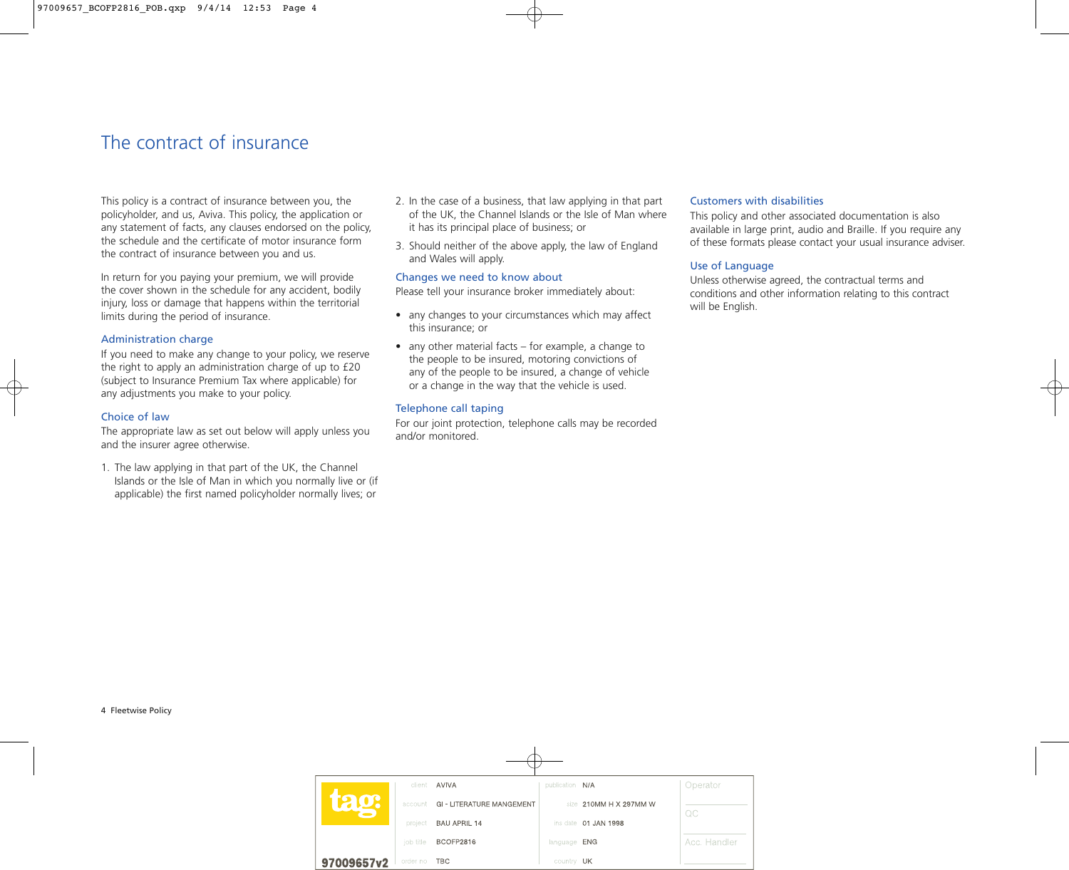# The contract of insurance

This policy is a contract of insurance between you, the policyholder, and us, Aviva. This policy, the application or any statement of facts, any clauses endorsed on the policy, the schedule and the certificate of motor insurance form the contract of insurance between you and us.

In return for you paying your premium, we will provide the cover shown in the schedule for any accident, bodily injury, loss or damage that happens within the territorial limits during the period of insurance.

#### Administration charge

If you need to make any change to your policy, we reserve the right to apply an administration charge of up to £20 (subject to Insurance Premium Tax where applicable) for any adjustments you make to your policy.

#### Choice of law

The appropriate law as set out below will apply unless you and the insurer agree otherwise.

1. The law applying in that part of the UK, the Channel Islands or the Isle of Man in which you normally live or (if applicable) the first named policyholder normally lives; or

- 2. In the case of a business, that law applying in that part of the UK, the Channel Islands or the Isle of Man where it has its principal place of business; or
- 3. Should neither of the above apply, the law of England and Wales will apply.

#### Changes we need to know about

Please tell your insurance broker immediately about:

- any changes to your circumstances which may affect this insurance; or
- any other material facts for example, a change to the people to be insured, motoring convictions of any of the people to be insured, a change of vehicle or a change in the way that the vehicle is used.

#### Telephone call taping

For our joint protection, telephone calls may be recorded and/or monitored.

#### Customers with disabilities

This policy and other associated documentation is also available in large print, audio and Braille. If you require any of these formats please contact your usual insurance adviser.

#### Use of Language

Unless otherwise agreed, the contractual terms and conditions and other information relating to this contract will be English.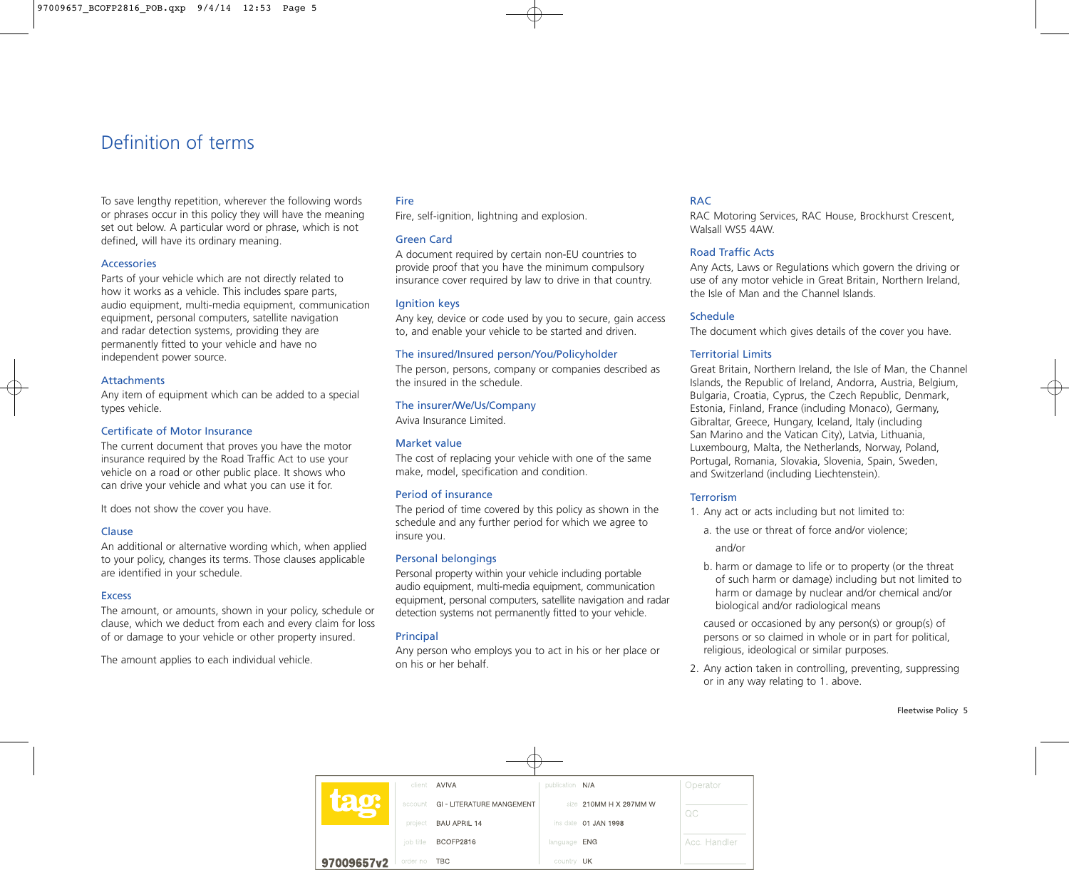# Definition of terms

To save lengthy repetition, wherever the following words or phrases occur in this policy they will have the meaning set out below. A particular word or phrase, which is not defined, will have its ordinary meaning.

#### Accessories

Parts of your vehicle which are not directly related to how it works as a vehicle. This includes spare parts, audio equipment, multi-media equipment, communication equipment, personal computers, satellite navigation and radar detection systems, providing they are permanently fitted to your vehicle and have no independent power source.

#### Attachments

Any item of equipment which can be added to a special types vehicle.

#### Certificate of Motor Insurance

The current document that proves you have the motor insurance required by the Road Traffic Act to use your vehicle on a road or other public place. It shows who can drive your vehicle and what you can use it for.

It does not show the cover you have.

#### Clause

An additional or alternative wording which, when applied to your policy, changes its terms. Those clauses applicable are identified in your schedule.

#### **Excess**

The amount, or amounts, shown in your policy, schedule or clause, which we deduct from each and every claim for loss of or damage to your vehicle or other property insured.

The amount applies to each individual vehicle.

#### Fire

Fire, self-ignition, lightning and explosion.

#### Green Card

A document required by certain non-EU countries to provide proof that you have the minimum compulsory insurance cover required by law to drive in that country.

#### Ignition keys

Any key, device or code used by you to secure, gain access to, and enable your vehicle to be started and driven.

#### The insured/Insured person/You/Policyholder

The person, persons, company or companies described as the insured in the schedule.

#### The insurer/We/Us/Company

Aviva Insurance Limited.

#### Market value

The cost of replacing your vehicle with one of the same make, model, specification and condition.

#### Period of insurance

The period of time covered by this policy as shown in the schedule and any further period for which we agree to insure you.

#### Personal belongings

Personal property within your vehicle including portable audio equipment, multi-media equipment, communication equipment, personal computers, satellite navigation and radar detection systems not permanently fitted to your vehicle.

#### **Principal**

Any person who employs you to act in his or her place or on his or her behalf.

#### RAC

RAC Motoring Services, RAC House, Brockhurst Crescent, Walsall WS5 4AW.

#### Road Traffic Acts

Any Acts, Laws or Regulations which govern the driving or use of any motor vehicle in Great Britain, Northern Ireland, the Isle of Man and the Channel Islands.

#### Schedule

The document which gives details of the cover you have.

#### Territorial Limits

Great Britain, Northern Ireland, the Isle of Man, the Channel Islands, the Republic of Ireland, Andorra, Austria, Belgium, Bulgaria, Croatia, Cyprus, the Czech Republic, Denmark, Estonia, Finland, France (including Monaco), Germany, Gibraltar, Greece, Hungary, Iceland, Italy (including San Marino and the Vatican City), Latvia, Lithuania, Luxembourg, Malta, the Netherlands, Norway, Poland, Portugal, Romania, Slovakia, Slovenia, Spain, Sweden, and Switzerland (including Liechtenstein).

#### **Terrorism**

- 1. Any act or acts including but not limited to:
	- a. the use or threat of force and/or violence;

and/or

b. harm or damage to life or to property (or the threat of such harm or damage) including but not limited to harm or damage by nuclear and/or chemical and/or biological and/or radiological means

caused or occasioned by any person(s) or group(s) of persons or so claimed in whole or in part for political, religious, ideological or similar purposes.

2. Any action taken in controlling, preventing, suppressing or in any way relating to 1. above.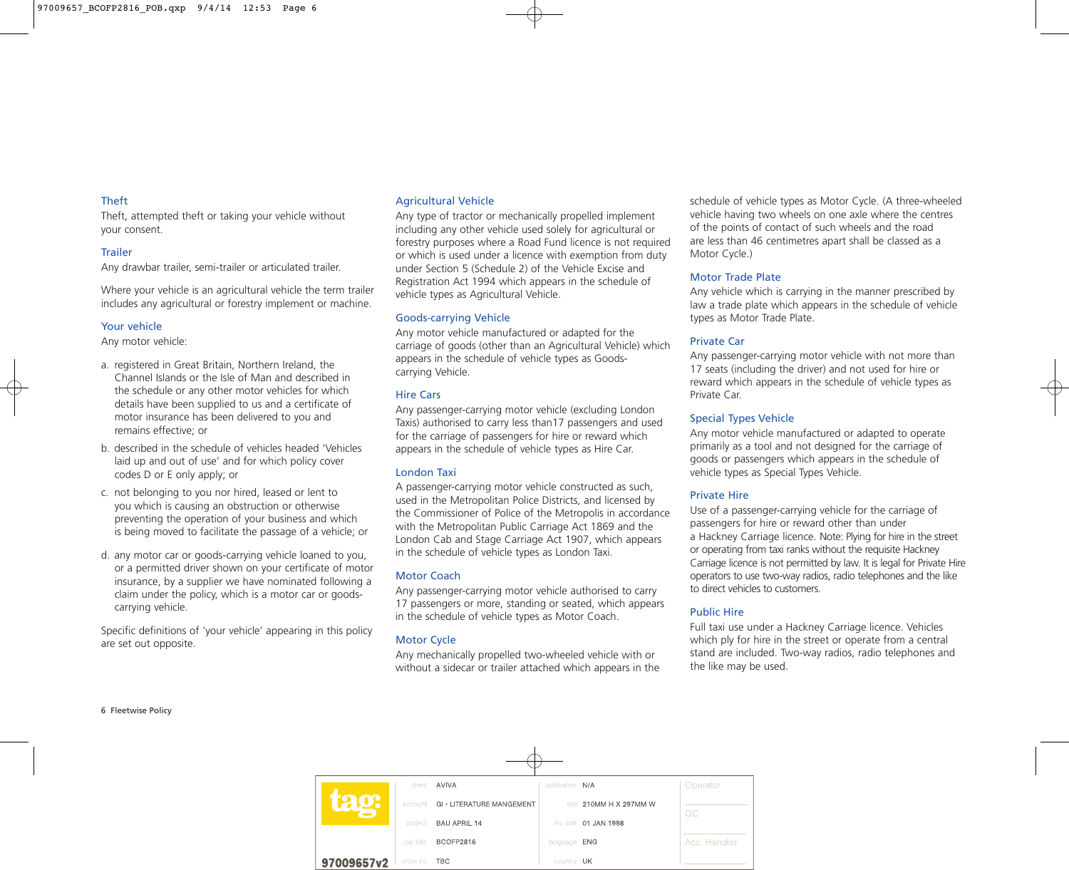#### Theft

Theft, attempted theft or taking your vehicle without your consent.

#### **Trailer**

Any drawbar trailer, semi-trailer or articulated trailer.

Where your vehicle is an agricultural vehicle the term trailer includes any agricultural or forestry implement or machine.

#### Your vehicle

Any motor vehicle:

- a. registered in Great Britain, Northern Ireland, the Channel Islands or the Isle of Man and described in the schedule or any other motor vehicles for which details have been supplied to us and a certificate of motor insurance has been delivered to you and remains effective; or
- b. described in the schedule of vehicles headed 'Vehicles laid up and out of use' and for which policy cover codes D or E only apply; or
- c. not belonging to you nor hired, leased or lent to you which is causing an obstruction or otherwise preventing the operation of your business and which is being moved to facilitate the passage of a vehicle; or
- d. any motor car or goods-carrying vehicle loaned to you, or a permitted driver shown on your certificate of motor insurance, by a supplier we have nominated following a claim under the policy, which is a motor car or goodscarrying vehicle.

Specific definitions of 'your vehicle' appearing in this policy are set out opposite.

#### Agricultural Vehicle

Any type of tractor or mechanically propelled implement including any other vehicle used solely for agricultural or forestry purposes where a Road Fund licence is not required or which is used under a licence with exemption from duty under Section 5 (Schedule 2) of the Vehicle Excise and Registration Act 1994 which appears in the schedule of vehicle types as Agricultural Vehicle.

#### Goods-carrying Vehicle

Any motor vehicle manufactured or adapted for the carriage of goods (other than an Agricultural Vehicle) which appears in the schedule of vehicle types as Goodscarrying Vehicle.

## Hire Cars

Any passenger-carrying motor vehicle (excluding London Taxis) authorised to carry less than17 passengers and used for the carriage of passengers for hire or reward which appears in the schedule of vehicle types as Hire Car.

#### London Taxi

A passenger-carrying motor vehicle constructed as such, used in the Metropolitan Police Districts, and licensed by the Commissioner of Police of the Metropolis in accordance with the Metropolitan Public Carriage Act 1869 and the London Cab and Stage Carriage Act 1907, which appears in the schedule of vehicle types as London Taxi.

## Motor Coach

Any passenger-carrying motor vehicle authorised to carry 17 passengers or more, standing or seated, which appears in the schedule of vehicle types as Motor Coach.

# Motor Cycle

Any mechanically propelled two-wheeled vehicle with or without a sidecar or trailer attached which appears in the

schedule of vehicle types as Motor Cycle. (A three-wheeled vehicle having two wheels on one axle where the centres of the points of contact of such wheels and the road are less than 46 centimetres apart shall be classed as a Motor Cycle.)

## Motor Trade Plate

Any vehicle which is carrying in the manner prescribed by law a trade plate which appears in the schedule of vehicle types as Motor Trade Plate.

## Private Car

Any passenger-carrying motor vehicle with not more than 17 seats (including the driver) and not used for hire or reward which appears in the schedule of vehicle types as Private Car.

# Special Types Vehicle

Any motor vehicle manufactured or adapted to operate primarily as a tool and not designed for the carriage of goods or passengers which appears in the schedule of vehicle types as Special Types Vehicle.

# Private Hire

Use of a passenger-carrying vehicle for the carriage of passengers for hire or reward other than under a Hackney Carriage licence. Note: Plying for hire in the street or operating from taxi ranks without the requisite Hackney Carriage licence is not permitted by law. It is legal for Private Hire operators to use two-way radios, radio telephones and the like to direct vehicles to customers.

## Public Hire

Full taxi use under a Hackney Carriage licence. Vehicles which ply for hire in the street or operate from a central stand are included. Two-way radios, radio telephones and the like may be used.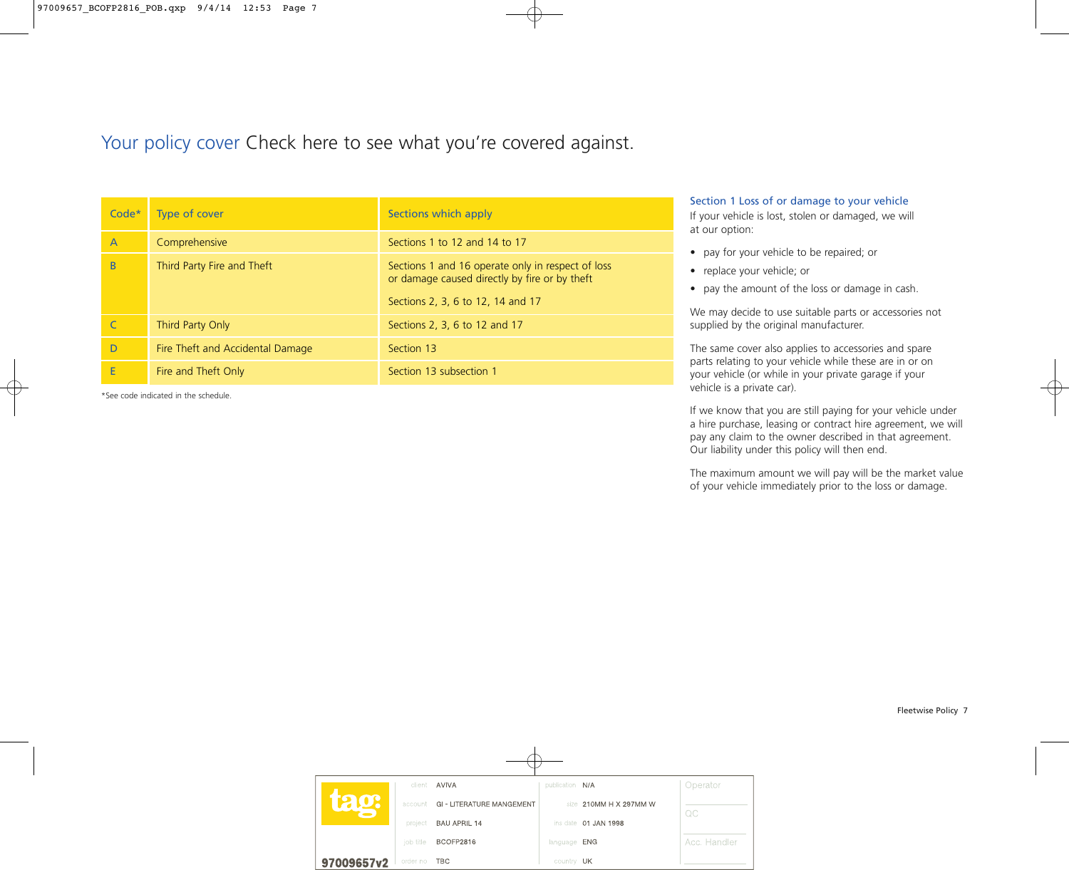# Your policy cover Check here to see what you're covered against.

| $Code*$        | <b>Type of cover</b>             | Sections which apply                                                                                                                    |
|----------------|----------------------------------|-----------------------------------------------------------------------------------------------------------------------------------------|
| $\overline{A}$ | Comprehensive                    | Sections 1 to 12 and 14 to 17                                                                                                           |
| B              | Third Party Fire and Theft       | Sections 1 and 16 operate only in respect of loss<br>or damage caused directly by fire or by theft<br>Sections 2, 3, 6 to 12, 14 and 17 |
|                | Third Party Only                 | Sections 2, 3, 6 to 12 and 17                                                                                                           |
| D              | Fire Theft and Accidental Damage | Section 13                                                                                                                              |
| E              | Fire and Theft Only              | Section 13 subsection 1                                                                                                                 |

\*See code indicated in the schedule.

#### Section 1 Loss of or damage to your vehicle

If your vehicle is lost, stolen or damaged, we will at our option:

- pay for your vehicle to be repaired; or
- replace your vehicle; or
- pay the amount of the loss or damage in cash.

We may decide to use suitable parts or accessories not supplied by the original manufacturer.

The same cover also applies to accessories and spare parts relating to your vehicle while these are in or on your vehicle (or while in your private garage if your vehicle is a private car).

If we know that you are still paying for your vehicle under a hire purchase, leasing or contract hire agreement, we will pay any claim to the owner described in that agreement. Our liability under this policy will then end.

The maximum amount we will pay will be the market value of your vehicle immediately prior to the loss or damage.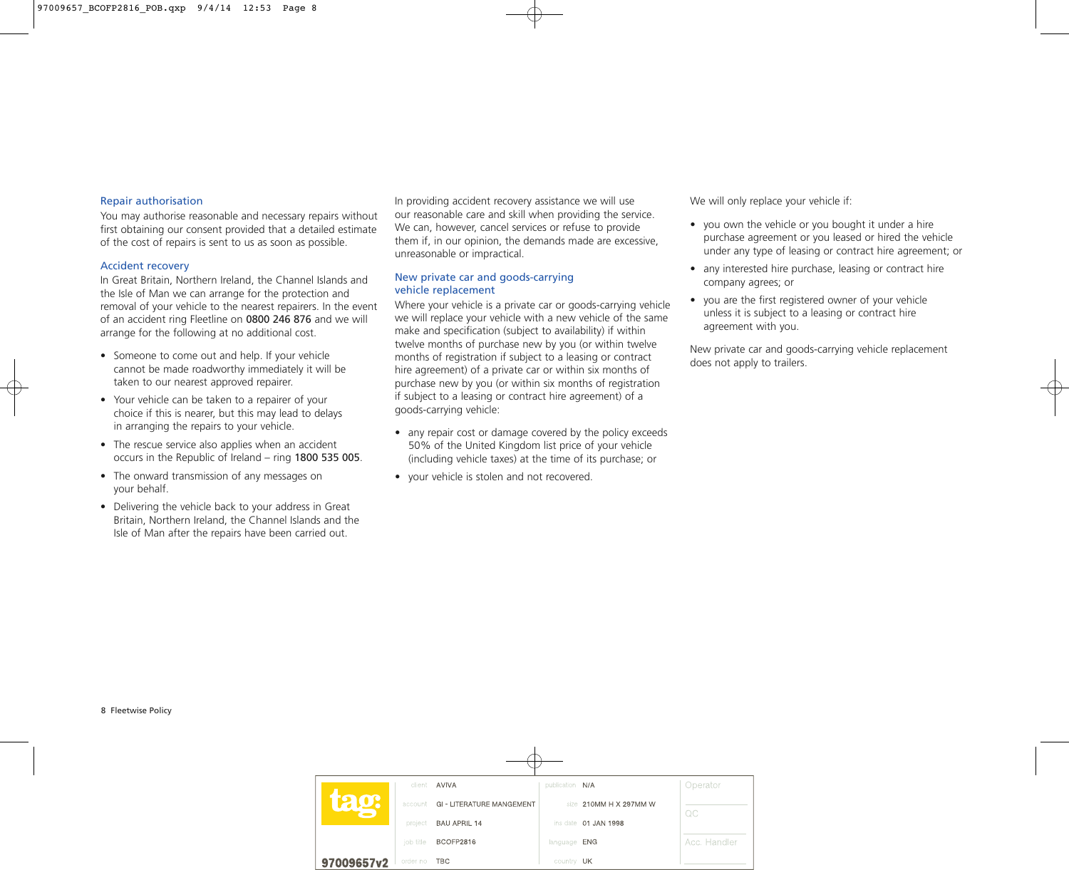#### Repair authorisation

You may authorise reasonable and necessary repairs without first obtaining our consent provided that a detailed estimate of the cost of repairs is sent to us as soon as possible.

#### Accident recovery

In Great Britain, Northern Ireland, the Channel Islands and the Isle of Man we can arrange for the protection and removal of your vehicle to the nearest repairers. In the event of an accident ring Fleetline on 0800 246 876 and we will arrange for the following at no additional cost.

- Someone to come out and help. If your vehicle cannot be made roadworthy immediately it will be taken to our nearest approved repairer.
- Your vehicle can be taken to a repairer of your choice if this is nearer, but this may lead to delays in arranging the repairs to your vehicle.
- The rescue service also applies when an accident occurs in the Republic of Ireland – ring 1800 535 005.
- The onward transmission of any messages on your behalf.
- Delivering the vehicle back to your address in Great Britain, Northern Ireland, the Channel Islands and the Isle of Man after the repairs have been carried out.

In providing accident recovery assistance we will use our reasonable care and skill when providing the service. We can, however, cancel services or refuse to provide them if, in our opinion, the demands made are excessive, unreasonable or impractical.

#### New private car and goods-carrying vehicle replacement

Where your vehicle is a private car or goods-carrying vehicle we will replace your vehicle with a new vehicle of the same make and specification (subject to availability) if within twelve months of purchase new by you (or within twelve months of registration if subject to a leasing or contract hire agreement) of a private car or within six months of purchase new by you (or within six months of registration if subject to a leasing or contract hire agreement) of a goods-carrying vehicle:

- any repair cost or damage covered by the policy exceeds 50% of the United Kingdom list price of your vehicle (including vehicle taxes) at the time of its purchase; or
- your vehicle is stolen and not recovered.

We will only replace your vehicle if:

- you own the vehicle or you bought it under a hire purchase agreement or you leased or hired the vehicle under any type of leasing or contract hire agreement; or
- any interested hire purchase, leasing or contract hire company agrees; or
- you are the first registered owner of your vehicle unless it is subject to a leasing or contract hire agreement with you.

New private car and goods-carrying vehicle replacement does not apply to trailers.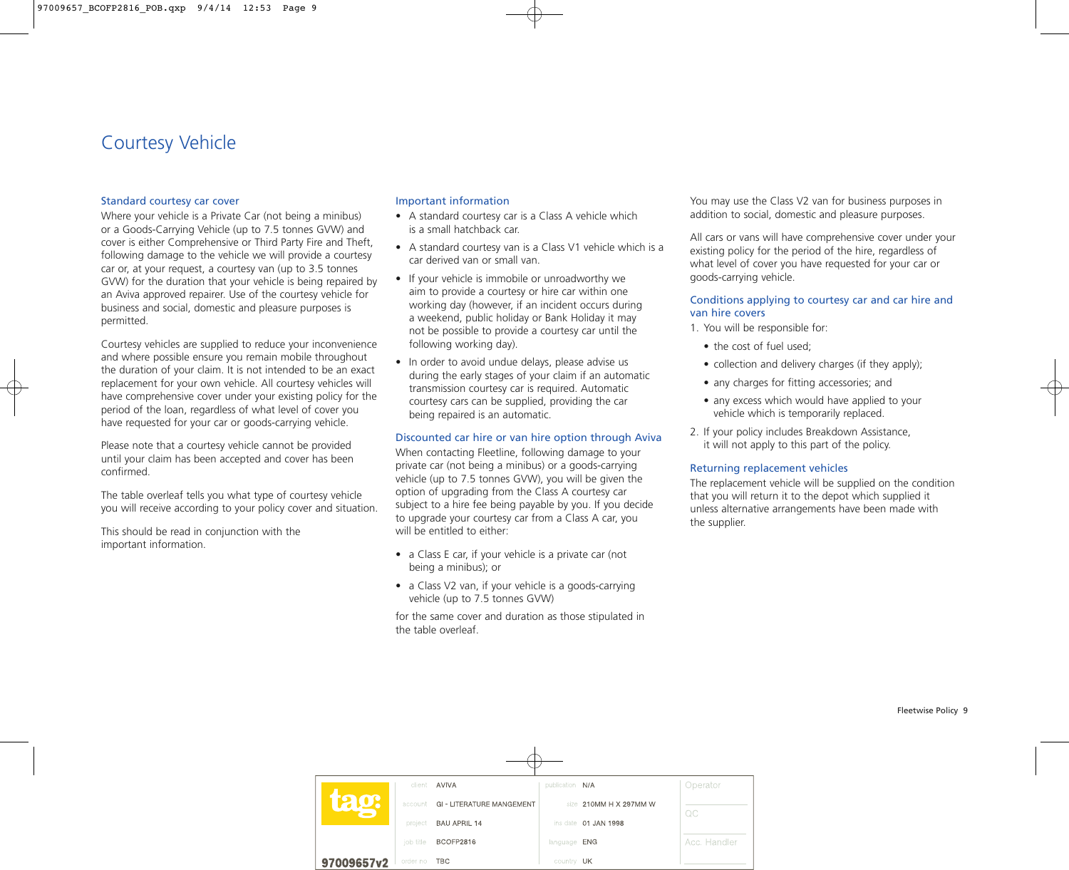# Courtesy Vehicle

#### Standard courtesy car cover

Where your vehicle is a Private Car (not being a minibus) or a Goods-Carrying Vehicle (up to 7.5 tonnes GVW) and cover is either Comprehensive or Third Party Fire and Theft, following damage to the vehicle we will provide a courtesy car or, at your request, a courtesy van (up to 3.5 tonnes GVW) for the duration that your vehicle is being repaired by an Aviva approved repairer. Use of the courtesy vehicle for business and social, domestic and pleasure purposes is permitted.

Courtesy vehicles are supplied to reduce your inconvenience and where possible ensure you remain mobile throughout the duration of your claim. It is not intended to be an exact replacement for your own vehicle. All courtesy vehicles will have comprehensive cover under your existing policy for the period of the loan, regardless of what level of cover you have requested for your car or goods-carrying vehicle.

Please note that a courtesy vehicle cannot be provided until your claim has been accepted and cover has been confirmed.

The table overleaf tells you what type of courtesy vehicle you will receive according to your policy cover and situation.

This should be read in conjunction with the important information.

## Important information

- A standard courtesy car is a Class A vehicle which is a small hatchback car.
- A standard courtesy van is a Class V1 vehicle which is a car derived van or small van.
- If your vehicle is immobile or unroadworthy we aim to provide a courtesy or hire car within one working day (however, if an incident occurs during a weekend, public holiday or Bank Holiday it may not be possible to provide a courtesy car until the following working day).
- In order to avoid undue delays, please advise us during the early stages of your claim if an automatic transmission courtesy car is required. Automatic courtesy cars can be supplied, providing the car being repaired is an automatic.

## Discounted car hire or van hire option through Aviva

When contacting Fleetline, following damage to your private car (not being a minibus) or a goods-carrying vehicle (up to 7.5 tonnes GVW), you will be given the option of upgrading from the Class A courtesy car subject to a hire fee being payable by you. If you decide to upgrade your courtesy car from a Class A car, you will be entitled to either:

- a Class E car, if your vehicle is a private car (not being a minibus); or
- a Class V2 van, if your vehicle is a goods-carrying vehicle (up to 7.5 tonnes GVW)

for the same cover and duration as those stipulated in the table overleaf.

You may use the Class V2 van for business purposes in addition to social, domestic and pleasure purposes.

All cars or vans will have comprehensive cover under your existing policy for the period of the hire, regardless of what level of cover you have requested for your car or goods-carrying vehicle.

#### Conditions applying to courtesy car and car hire and van hire covers

- 1. You will be responsible for:
	- the cost of fuel used:
	- collection and delivery charges (if they apply);
	- any charges for fitting accessories; and
	- any excess which would have applied to your vehicle which is temporarily replaced.
- 2. If your policy includes Breakdown Assistance, it will not apply to this part of the policy.

## Returning replacement vehicles

The replacement vehicle will be supplied on the condition that you will return it to the depot which supplied it unless alternative arrangements have been made with the supplier.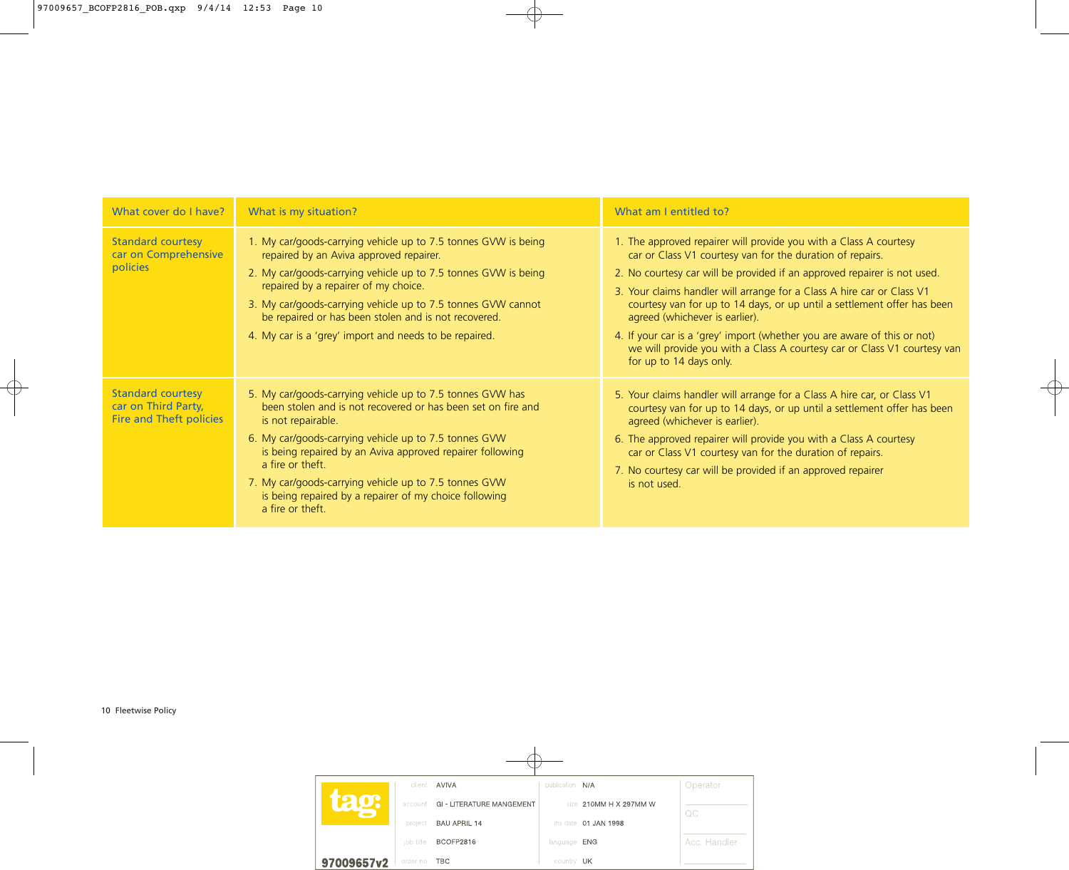| What cover do I have?                                                             | What is my situation?                                                                                                                                                                                                                                                                                                                                                                                                            | What am I entitled to?                                                                                                                                                                                                                                                                                                                                                                                                                                                                                                                                                               |
|-----------------------------------------------------------------------------------|----------------------------------------------------------------------------------------------------------------------------------------------------------------------------------------------------------------------------------------------------------------------------------------------------------------------------------------------------------------------------------------------------------------------------------|--------------------------------------------------------------------------------------------------------------------------------------------------------------------------------------------------------------------------------------------------------------------------------------------------------------------------------------------------------------------------------------------------------------------------------------------------------------------------------------------------------------------------------------------------------------------------------------|
| <b>Standard courtesy</b><br>car on Comprehensive<br><b>policies</b>               | 1. My car/goods-carrying vehicle up to 7.5 tonnes GVW is being<br>repaired by an Aviva approved repairer.<br>2. My car/goods-carrying vehicle up to 7.5 tonnes GVW is being<br>repaired by a repairer of my choice.<br>3. My car/goods-carrying vehicle up to 7.5 tonnes GVW cannot<br>be repaired or has been stolen and is not recovered.<br>4. My car is a 'grey' import and needs to be repaired.                            | 1. The approved repairer will provide you with a Class A courtesy<br>car or Class V1 courtesy van for the duration of repairs.<br>2. No courtesy car will be provided if an approved repairer is not used.<br>3. Your claims handler will arrange for a Class A hire car or Class V1<br>courtesy van for up to 14 days, or up until a settlement offer has been<br>agreed (whichever is earlier).<br>4. If your car is a 'grey' import (whether you are aware of this or not)<br>we will provide you with a Class A courtesy car or Class V1 courtesy van<br>for up to 14 days only. |
| <b>Standard courtesy</b><br>car on Third Party,<br><b>Fire and Theft policies</b> | 5. My car/goods-carrying vehicle up to 7.5 tonnes GVW has<br>been stolen and is not recovered or has been set on fire and<br>is not repairable.<br>6. My car/goods-carrying vehicle up to 7.5 tonnes GVW<br>is being repaired by an Aviva approved repairer following<br>a fire or theft.<br>7. My car/goods-carrying vehicle up to 7.5 tonnes GVW<br>is being repaired by a repairer of my choice following<br>a fire or theft. | 5. Your claims handler will arrange for a Class A hire car, or Class V1<br>courtesy van for up to 14 days, or up until a settlement offer has been<br>agreed (whichever is earlier).<br>6. The approved repairer will provide you with a Class A courtesy<br>car or Class V1 courtesy van for the duration of repairs.<br>7. No courtesy car will be provided if an approved repairer<br>is not used.                                                                                                                                                                                |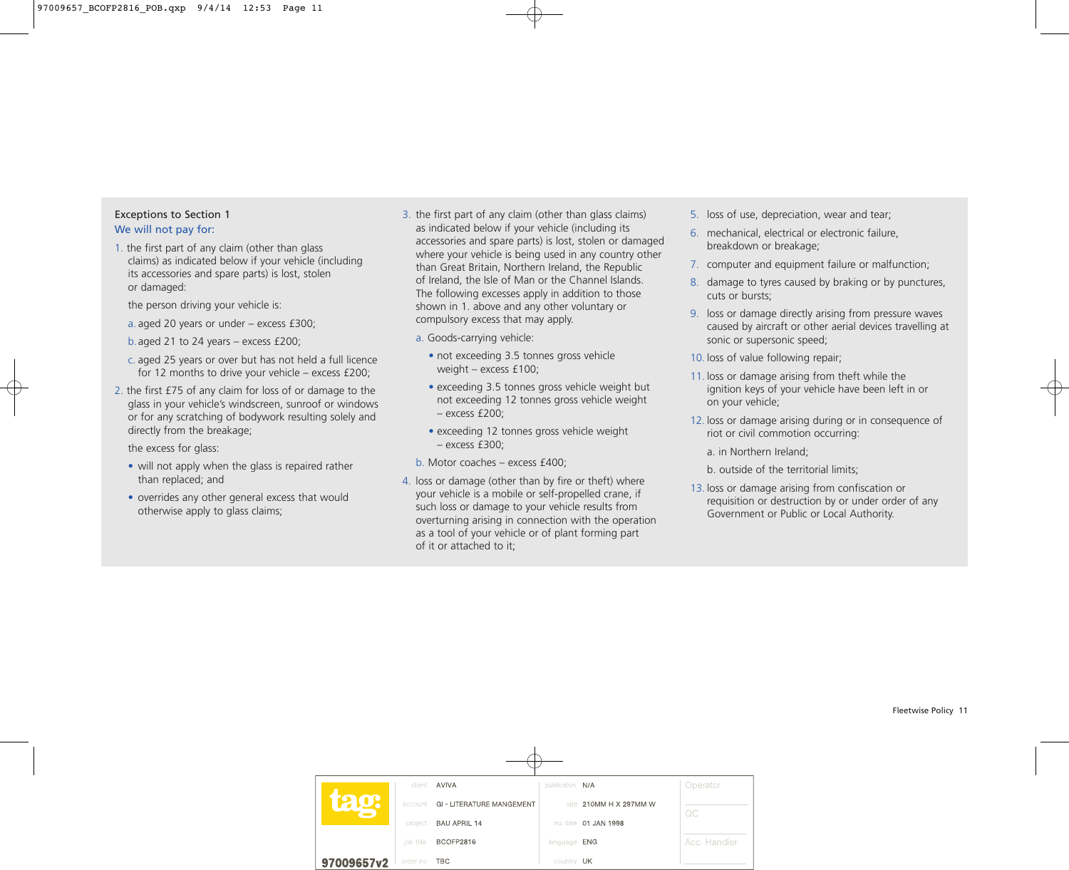# Exceptions to Section 1 We will not pay for:

1. the first part of any claim (other than glass claims) as indicated below if your vehicle (including its accessories and spare parts) is lost, stolen or damaged:

the person driving your vehicle is:

- a. aged 20 years or under excess £300;
- b.aged 21 to 24 years excess £200;
- c. aged 25 years or over but has not held a full licence for 12 months to drive your vehicle – excess £200;
- 2. the first £75 of any claim for loss of or damage to the glass in your vehicle's windscreen, sunroof or windows or for any scratching of bodywork resulting solely and directly from the breakage;

the excess for glass:

- will not apply when the glass is repaired rather than replaced; and
- overrides any other general excess that would otherwise apply to glass claims;
- 3. the first part of any claim (other than glass claims) as indicated below if your vehicle (including its accessories and spare parts) is lost, stolen or damaged where your vehicle is being used in any country other than Great Britain, Northern Ireland, the Republic of Ireland, the Isle of Man or the Channel Islands. The following excesses apply in addition to those shown in 1. above and any other voluntary or compulsory excess that may apply.
	- a. Goods-carrying vehicle:
		- not exceeding 3.5 tonnes gross vehicle weight – excess £100;
		- exceeding 3.5 tonnes gross vehicle weight but not exceeding 12 tonnes gross vehicle weight – excess £200;
		- exceeding 12 tonnes gross vehicle weight – excess £300;
	- b. Motor coaches excess £400;
- 4. loss or damage (other than by fire or theft) where your vehicle is a mobile or self-propelled crane, if such loss or damage to your vehicle results from overturning arising in connection with the operation as a tool of your vehicle or of plant forming part of it or attached to it;
- 5. loss of use, depreciation, wear and tear;
- 6. mechanical, electrical or electronic failure, breakdown or breakage;
- 7. computer and equipment failure or malfunction;
- 8. damage to tyres caused by braking or by punctures, cuts or bursts;
- 9. loss or damage directly arising from pressure waves caused by aircraft or other aerial devices travelling at sonic or supersonic speed;
- 10. loss of value following repair;
- 11. loss or damage arising from theft while the ignition keys of your vehicle have been left in or on your vehicle;
- 12. loss or damage arising during or in consequence of riot or civil commotion occurring:
	- a. in Northern Ireland;
	- b. outside of the territorial limits;
- 13. loss or damage arising from confiscation or requisition or destruction by or under order of any Government or Public or Local Authority.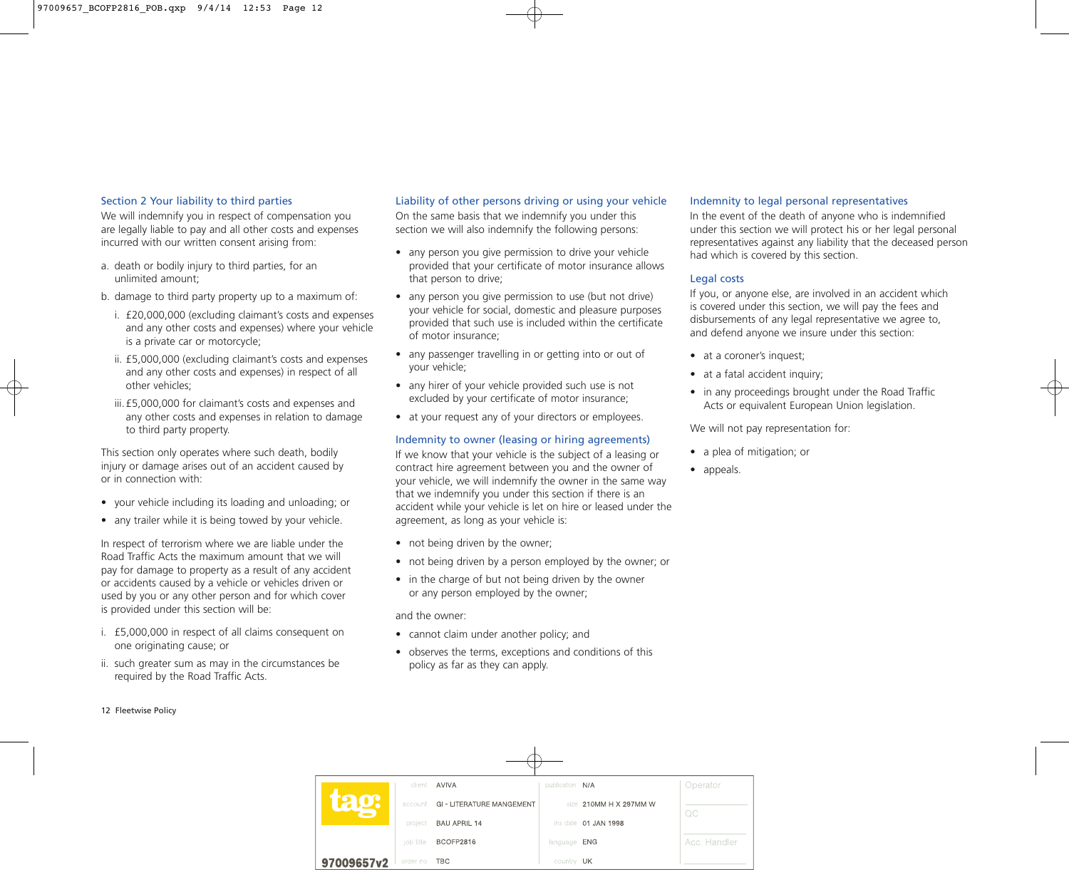#### Section 2 Your liability to third parties

We will indemnify you in respect of compensation you are legally liable to pay and all other costs and expenses incurred with our written consent arising from:

- a. death or bodily injury to third parties, for an unlimited amount;
- b. damage to third party property up to a maximum of:
	- i. £20,000,000 (excluding claimant's costs and expenses and any other costs and expenses) where your vehicle is a private car or motorcycle;
	- ii. £5,000,000 (excluding claimant's costs and expenses and any other costs and expenses) in respect of all other vehicles;
	- iii.£5,000,000 for claimant's costs and expenses and any other costs and expenses in relation to damage to third party property.

This section only operates where such death, bodily injury or damage arises out of an accident caused by or in connection with:

- your vehicle including its loading and unloading; or
- any trailer while it is being towed by your vehicle.

In respect of terrorism where we are liable under the Road Traffic Acts the maximum amount that we will pay for damage to property as a result of any accident or accidents caused by a vehicle or vehicles driven or used by you or any other person and for which cover is provided under this section will be:

- i. £5,000,000 in respect of all claims consequent on one originating cause; or
- ii. such greater sum as may in the circumstances be required by the Road Traffic Acts.

#### Liability of other persons driving or using your vehicle

On the same basis that we indemnify you under this section we will also indemnify the following persons:

- any person you give permission to drive your vehicle provided that your certificate of motor insurance allows that person to drive;
- any person you give permission to use (but not drive) your vehicle for social, domestic and pleasure purposes provided that such use is included within the certificate of motor insurance;
- any passenger travelling in or getting into or out of your vehicle;
- any hirer of your vehicle provided such use is not excluded by your certificate of motor insurance;
- at your request any of your directors or employees.

#### Indemnity to owner (leasing or hiring agreements)

If we know that your vehicle is the subject of a leasing or contract hire agreement between you and the owner of your vehicle, we will indemnify the owner in the same way that we indemnify you under this section if there is an accident while your vehicle is let on hire or leased under the agreement, as long as your vehicle is:

- not being driven by the owner;
- not being driven by a person employed by the owner; or
- in the charge of but not being driven by the owner or any person employed by the owner;

and the owner:

- cannot claim under another policy; and
- observes the terms, exceptions and conditions of this policy as far as they can apply.

#### Indemnity to legal personal representatives

In the event of the death of anyone who is indemnified under this section we will protect his or her legal personal representatives against any liability that the deceased person had which is covered by this section.

#### Legal costs

If you, or anyone else, are involved in an accident which is covered under this section, we will pay the fees and disbursements of any legal representative we agree to, and defend anyone we insure under this section:

- at a coroner's inquest;
- at a fatal accident inquiry;
- in any proceedings brought under the Road Traffic Acts or equivalent European Union legislation.

We will not pay representation for:

- a plea of mitigation; or
- appeals.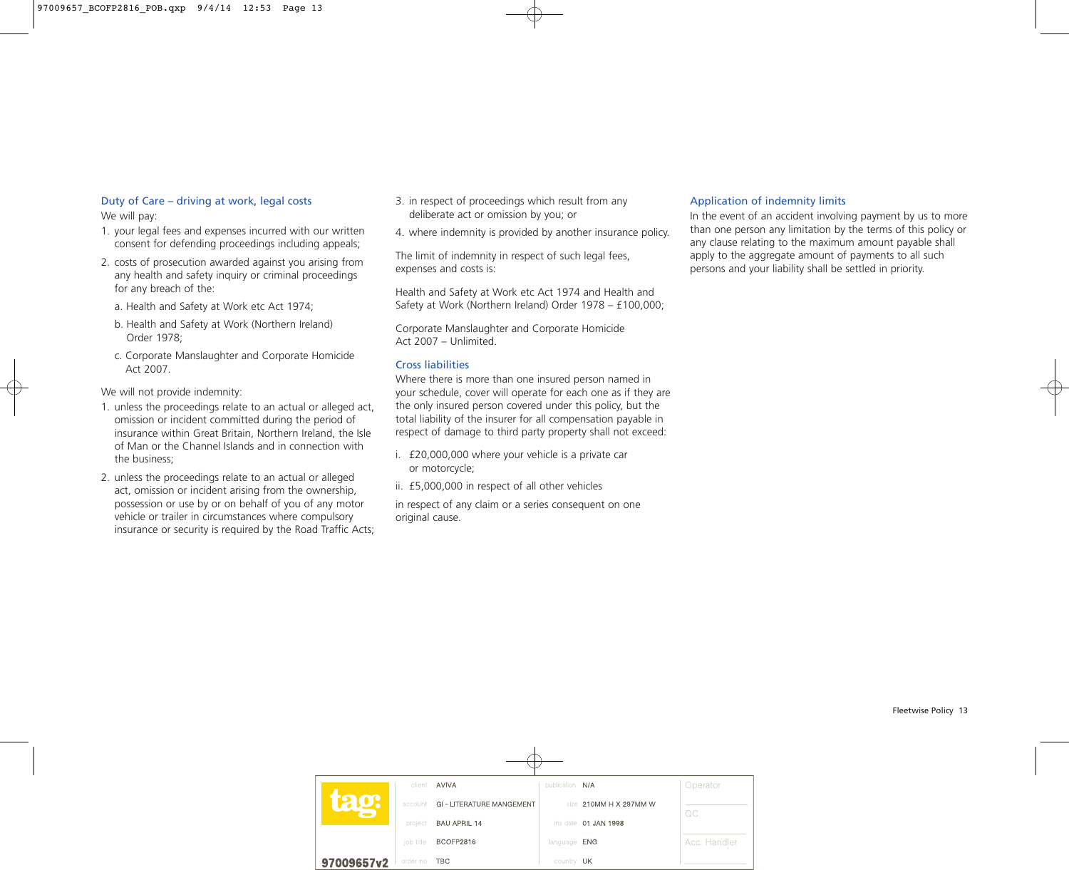## Duty of Care – driving at work, legal costs We will pay:

- 1. your legal fees and expenses incurred with our written consent for defending proceedings including appeals;
- 2. costs of prosecution awarded against you arising from any health and safety inquiry or criminal proceedings for any breach of the:
	- a. Health and Safety at Work etc Act 1974;
	- b. Health and Safety at Work (Northern Ireland) Order 1978;
	- c. Corporate Manslaughter and Corporate Homicide Act 2007.

We will not provide indemnity:

- 1. unless the proceedings relate to an actual or alleged act, omission or incident committed during the period of insurance within Great Britain, Northern Ireland, the Isle of Man or the Channel Islands and in connection with the business;
- 2. unless the proceedings relate to an actual or alleged act, omission or incident arising from the ownership, possession or use by or on behalf of you of any motor vehicle or trailer in circumstances where compulsory insurance or security is required by the Road Traffic Acts;
- 3. in respect of proceedings which result from any deliberate act or omission by you; or
- 4. where indemnity is provided by another insurance policy.

The limit of indemnity in respect of such legal fees, expenses and costs is:

Health and Safety at Work etc Act 1974 and Health and Safety at Work (Northern Ireland) Order 1978 – £100,000;

Corporate Manslaughter and Corporate Homicide Act 2007 – Unlimited.

# Cross liabilities

Where there is more than one insured person named in your schedule, cover will operate for each one as if they are the only insured person covered under this policy, but the total liability of the insurer for all compensation payable in respect of damage to third party property shall not exceed:

- i. £20,000,000 where your vehicle is a private car or motorcycle;
- ii. £5,000,000 in respect of all other vehicles

in respect of any claim or a series consequent on one original cause.

# Application of indemnity limits

In the event of an accident involving payment by us to more than one person any limitation by the terms of this policy or any clause relating to the maximum amount payable shall apply to the aggregate amount of payments to all such persons and your liability shall be settled in priority.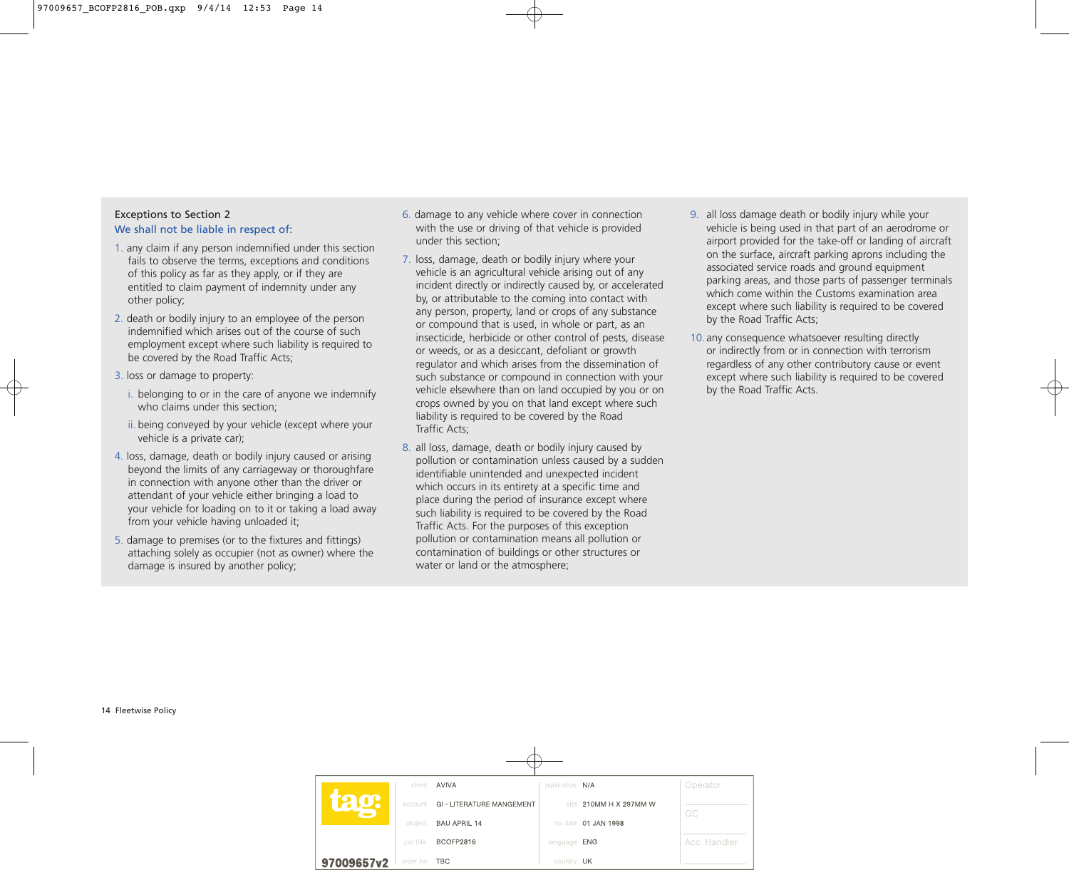## Exceptions to Section 2 We shall not be liable in respect of:

- 1. any claim if any person indemnified under this section fails to observe the terms, exceptions and conditions of this policy as far as they apply, or if they are entitled to claim payment of indemnity under any other policy;
- 2. death or bodily injury to an employee of the person indemnified which arises out of the course of such employment except where such liability is required to be covered by the Road Traffic Acts;
- 3. loss or damage to property:
	- i. belonging to or in the care of anyone we indemnify who claims under this section;
	- ii. being conveyed by your vehicle (except where your vehicle is a private car);
- 4. loss, damage, death or bodily injury caused or arising beyond the limits of any carriageway or thoroughfare in connection with anyone other than the driver or attendant of your vehicle either bringing a load to your vehicle for loading on to it or taking a load away from your vehicle having unloaded it;
- 5. damage to premises (or to the fixtures and fittings) attaching solely as occupier (not as owner) where the damage is insured by another policy;
- 6. damage to any vehicle where cover in connection with the use or driving of that vehicle is provided under this section;
- 7. loss, damage, death or bodily injury where your vehicle is an agricultural vehicle arising out of any incident directly or indirectly caused by, or accelerated by, or attributable to the coming into contact with any person, property, land or crops of any substance or compound that is used, in whole or part, as an insecticide, herbicide or other control of pests, disease or weeds, or as a desiccant, defoliant or growth regulator and which arises from the dissemination of such substance or compound in connection with your vehicle elsewhere than on land occupied by you or on crops owned by you on that land except where such liability is required to be covered by the Road Traffic Acts;
- 8. all loss, damage, death or bodily injury caused by pollution or contamination unless caused by a sudden identifiable unintended and unexpected incident which occurs in its entirety at a specific time and place during the period of insurance except where such liability is required to be covered by the Road Traffic Acts. For the purposes of this exception pollution or contamination means all pollution or contamination of buildings or other structures or water or land or the atmosphere;
- 9. all loss damage death or bodily injury while your vehicle is being used in that part of an aerodrome or airport provided for the take-off or landing of aircraft on the surface, aircraft parking aprons including the associated service roads and ground equipment parking areas, and those parts of passenger terminals which come within the Customs examination area except where such liability is required to be covered by the Road Traffic Acts;
- 10.any consequence whatsoever resulting directly or indirectly from or in connection with terrorism regardless of any other contributory cause or event except where such liability is required to be covered by the Road Traffic Acts.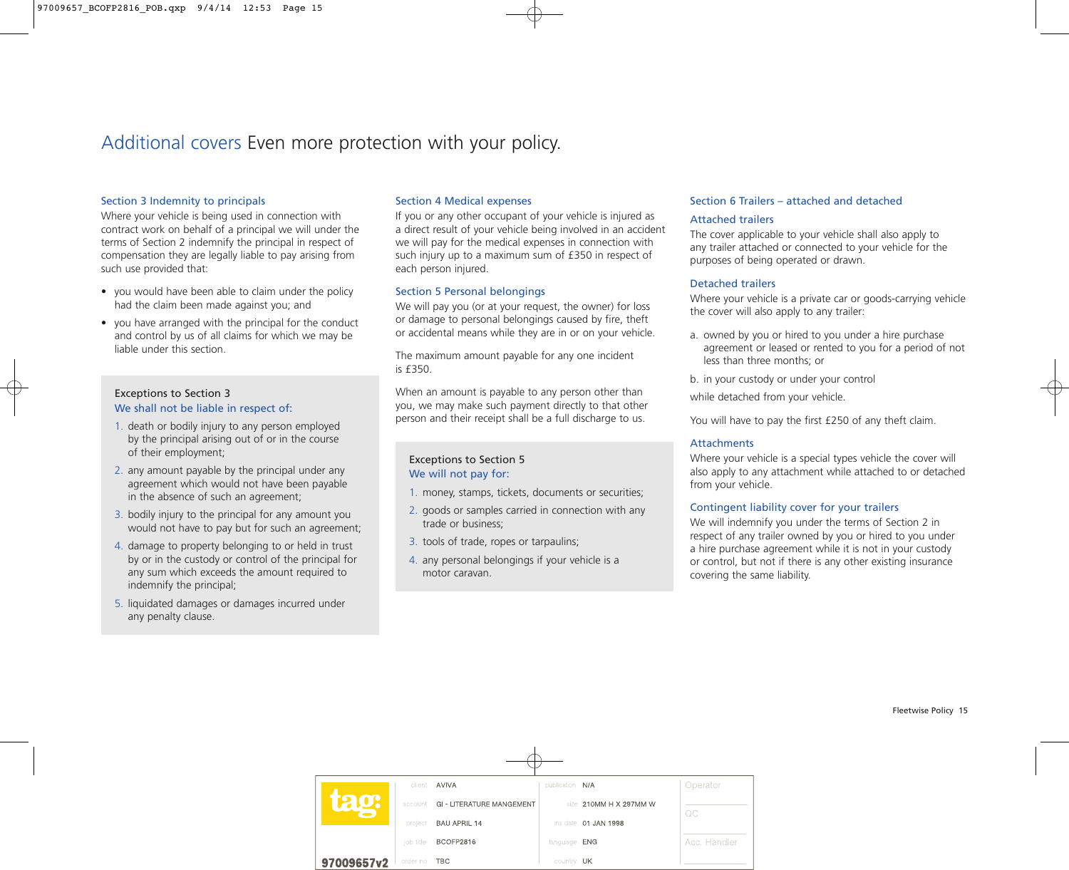# Additional covers Even more protection with your policy.

#### Section 3 Indemnity to principals

Where your vehicle is being used in connection with contract work on behalf of a principal we will under the terms of Section 2 indemnify the principal in respect of compensation they are legally liable to pay arising from such use provided that:

- you would have been able to claim under the policy had the claim been made against you; and
- you have arranged with the principal for the conduct and control by us of all claims for which we may be liable under this section.

## Exceptions to Section 3 We shall not be liable in respect of:

- 1. death or bodily injury to any person employed by the principal arising out of or in the course of their employment;
- 2. any amount payable by the principal under any agreement which would not have been payable in the absence of such an agreement;
- 3. bodily injury to the principal for any amount you would not have to pay but for such an agreement;
- 4. damage to property belonging to or held in trust by or in the custody or control of the principal for any sum which exceeds the amount required to indemnify the principal;
- 5. liquidated damages or damages incurred under any penalty clause.

# Section 4 Medical expenses

If you or any other occupant of your vehicle is injured as a direct result of your vehicle being involved in an accident we will pay for the medical expenses in connection with such injury up to a maximum sum of £350 in respect of each person injured.

#### Section 5 Personal belongings

We will pay you (or at your request, the owner) for loss or damage to personal belongings caused by fire, theft or accidental means while they are in or on your vehicle.

The maximum amount payable for any one incident is £350.

When an amount is payable to any person other than you, we may make such payment directly to that other person and their receipt shall be a full discharge to us.

## Exceptions to Section 5 We will not pay for:

- 1. money, stamps, tickets, documents or securities;
- 2. goods or samples carried in connection with any trade or business;
- 3. tools of trade, ropes or tarpaulins;
- 4. any personal belongings if your vehicle is a motor caravan.

## Section 6 Trailers – attached and detached

#### Attached trailers

The cover applicable to your vehicle shall also apply to any trailer attached or connected to your vehicle for the purposes of being operated or drawn.

#### Detached trailers

Where your vehicle is a private car or goods-carrying vehicle the cover will also apply to any trailer:

- a. owned by you or hired to you under a hire purchase agreement or leased or rented to you for a period of not less than three months; or
- b. in your custody or under your control

while detached from your vehicle.

You will have to pay the first £250 of any theft claim.

#### **Attachments**

Where your vehicle is a special types vehicle the cover will also apply to any attachment while attached to or detached from your vehicle.

#### Contingent liability cover for your trailers

We will indemnify you under the terms of Section 2 in respect of any trailer owned by you or hired to you under a hire purchase agreement while it is not in your custody or control, but not if there is any other existing insurance covering the same liability.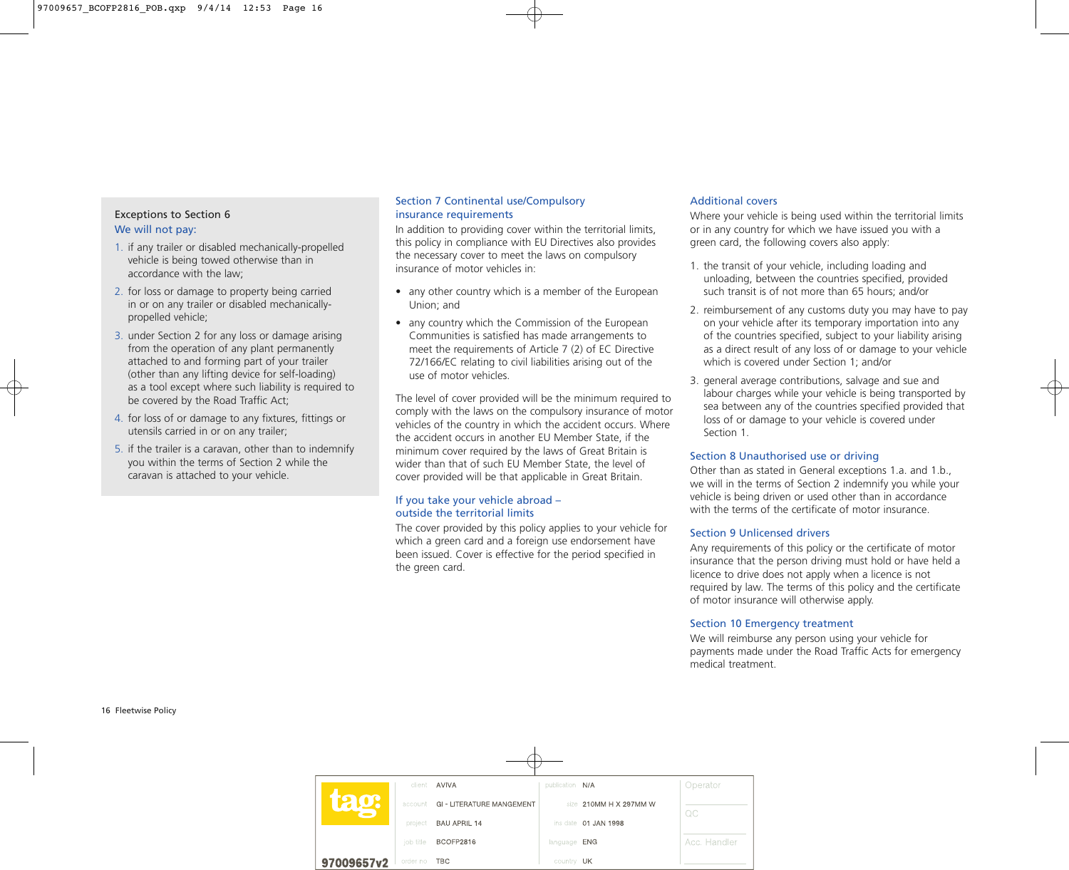# Exceptions to Section 6 We will not pay:

- 1. if any trailer or disabled mechanically-propelled vehicle is being towed otherwise than in accordance with the law;
- 2. for loss or damage to property being carried in or on any trailer or disabled mechanicallypropelled vehicle;
- 3. under Section 2 for any loss or damage arising from the operation of any plant permanently attached to and forming part of your trailer (other than any lifting device for self-loading) as a tool except where such liability is required to be covered by the Road Traffic Act;
- 4. for loss of or damage to any fixtures, fittings or utensils carried in or on any trailer;
- 5. if the trailer is a caravan, other than to indemnify you within the terms of Section 2 while the caravan is attached to your vehicle.

## Section 7 Continental use/Compulsory insurance requirements

In addition to providing cover within the territorial limits, this policy in compliance with EU Directives also provides the necessary cover to meet the laws on compulsory insurance of motor vehicles in:

- any other country which is a member of the European Union; and
- any country which the Commission of the European Communities is satisfied has made arrangements to meet the requirements of Article 7 (2) of EC Directive 72/166/EC relating to civil liabilities arising out of the use of motor vehicles.

The level of cover provided will be the minimum required to comply with the laws on the compulsory insurance of motor vehicles of the country in which the accident occurs. Where the accident occurs in another EU Member State, if the minimum cover required by the laws of Great Britain is wider than that of such EU Member State, the level of cover provided will be that applicable in Great Britain.

## If you take your vehicle abroad  $$ outside the territorial limits

The cover provided by this policy applies to your vehicle for which a green card and a foreign use endorsement have been issued. Cover is effective for the period specified in the green card.

# Additional covers

Where your vehicle is being used within the territorial limits or in any country for which we have issued you with a green card, the following covers also apply:

- 1. the transit of your vehicle, including loading and unloading, between the countries specified, provided such transit is of not more than 65 hours; and/or
- 2. reimbursement of any customs duty you may have to pay on your vehicle after its temporary importation into any of the countries specified, subject to your liability arising as a direct result of any loss of or damage to your vehicle which is covered under Section 1; and/or
- 3. general average contributions, salvage and sue and labour charges while your vehicle is being transported by sea between any of the countries specified provided that loss of or damage to your vehicle is covered under Section 1.

# Section 8 Unauthorised use or driving

Other than as stated in General exceptions 1.a. and 1.b., we will in the terms of Section 2 indemnify you while your vehicle is being driven or used other than in accordance with the terms of the certificate of motor insurance

# Section 9 Unlicensed drivers

Any requirements of this policy or the certificate of motor insurance that the person driving must hold or have held a licence to drive does not apply when a licence is not required by law. The terms of this policy and the certificate of motor insurance will otherwise apply.

# Section 10 Emergency treatment

We will reimburse any person using your vehicle for payments made under the Road Traffic Acts for emergency medical treatment.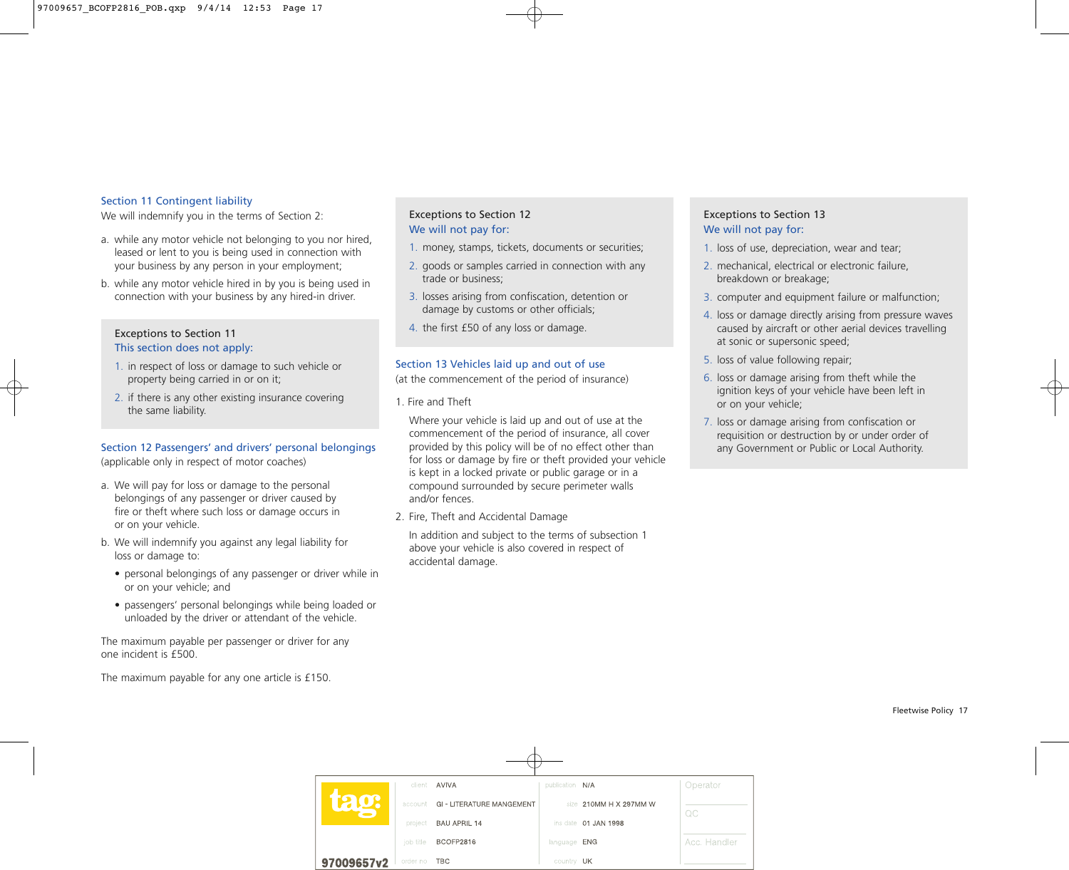#### Section 11 Contingent liability

We will indemnify you in the terms of Section 2:

- a. while any motor vehicle not belonging to you nor hired, leased or lent to you is being used in connection with your business by any person in your employment;
- b. while any motor vehicle hired in by you is being used in connection with your business by any hired-in driver.

## Exceptions to Section 11 This section does not apply:

- 1. in respect of loss or damage to such vehicle or property being carried in or on it;
- 2. if there is any other existing insurance covering the same liability.

## Section 12 Passengers' and drivers' personal belongings

(applicable only in respect of motor coaches)

- a. We will pay for loss or damage to the personal belongings of any passenger or driver caused by fire or theft where such loss or damage occurs in or on your vehicle.
- b. We will indemnify you against any legal liability for loss or damage to:
	- personal belongings of any passenger or driver while in or on your vehicle; and
	- passengers' personal belongings while being loaded or unloaded by the driver or attendant of the vehicle.

The maximum payable per passenger or driver for any one incident is £500.

The maximum payable for any one article is £150.

# Exceptions to Section 12 We will not pay for:

- 1. money, stamps, tickets, documents or securities;
- 2. goods or samples carried in connection with any trade or business;
- 3. losses arising from confiscation, detention or damage by customs or other officials;
- 4. the first £50 of any loss or damage.

# Section 13 Vehicles laid up and out of use

(at the commencement of the period of insurance)

1. Fire and Theft

Where your vehicle is laid up and out of use at the commencement of the period of insurance, all cover provided by this policy will be of no effect other than for loss or damage by fire or theft provided your vehicle is kept in a locked private or public garage or in a compound surrounded by secure perimeter walls and/or fences.

2. Fire, Theft and Accidental Damage

In addition and subject to the terms of subsection 1 above your vehicle is also covered in respect of accidental damage.

# Exceptions to Section 13 We will not pay for:

- 1. loss of use, depreciation, wear and tear;
- 2. mechanical, electrical or electronic failure, breakdown or breakage;
- 3. computer and equipment failure or malfunction;
- 4. loss or damage directly arising from pressure waves caused by aircraft or other aerial devices travelling at sonic or supersonic speed;
- 5. loss of value following repair;
- 6. loss or damage arising from theft while the ignition keys of your vehicle have been left in or on your vehicle;
- 7. loss or damage arising from confiscation or requisition or destruction by or under order of any Government or Public or Local Authority.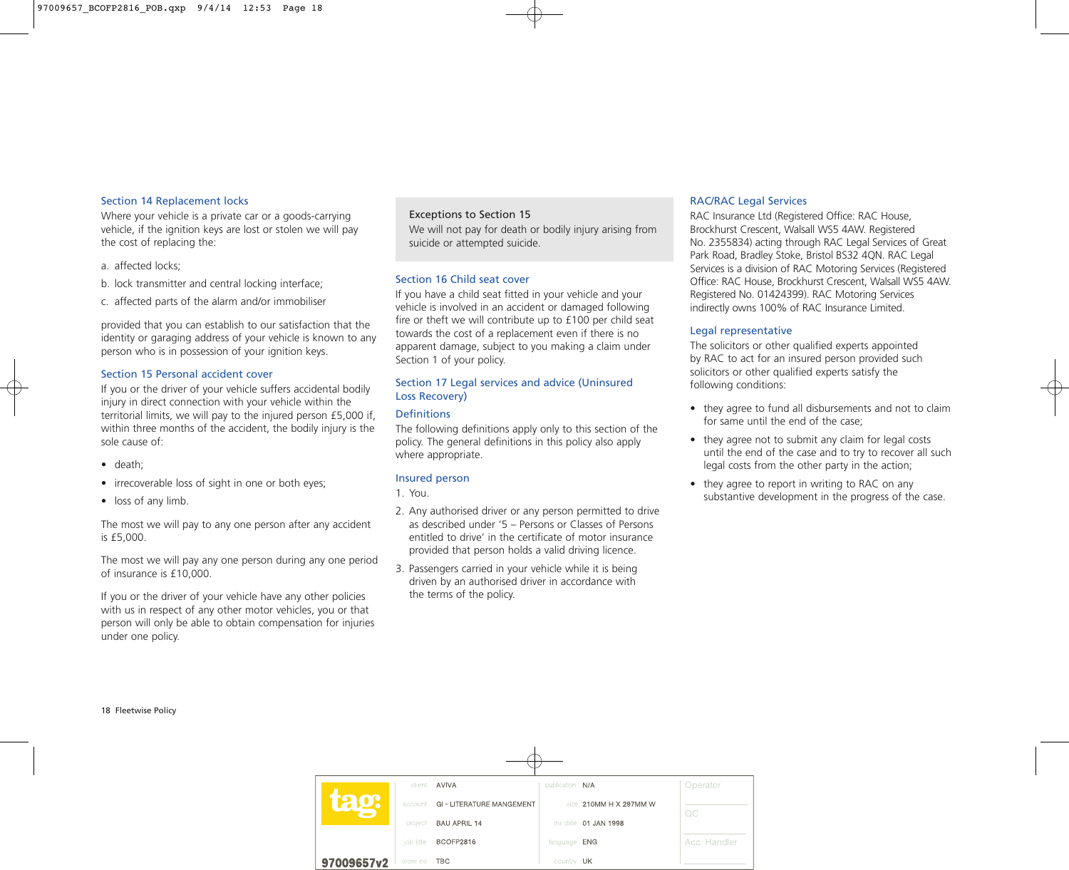#### Section 14 Replacement locks

Where your vehicle is a private car or a goods-carrying vehicle, if the ignition keys are lost or stolen we will pay the cost of replacing the:

- a. affected locks;
- b. lock transmitter and central locking interface;
- c. affected parts of the alarm and/or immobiliser

provided that you can establish to our satisfaction that the identity or garaging address of your vehicle is known to any person who is in possession of your ignition keys.

#### Section 15 Personal accident cover

If you or the driver of your vehicle suffers accidental bodily injury in direct connection with your vehicle within the territorial limits, we will pay to the injured person £5,000 if, within three months of the accident, the bodily injury is the sole cause of:

- death;
- irrecoverable loss of sight in one or both eyes;
- loss of any limb.

The most we will pay to any one person after any accident is £5,000.

The most we will pay any one person during any one period of insurance is £10,000.

If you or the driver of your vehicle have any other policies with us in respect of any other motor vehicles, you or that person will only be able to obtain compensation for injuries under one policy.

#### Exceptions to Section 15

We will not pay for death or bodily injury arising from suicide or attempted suicide.

#### Section 16 Child seat cover

If you have a child seat fitted in your vehicle and your vehicle is involved in an accident or damaged following fire or theft we will contribute up to £100 per child seat towards the cost of a replacement even if there is no apparent damage, subject to you making a claim under Section 1 of your policy.

#### Section 17 Legal services and advice (Uninsured Loss Recovery)

#### **Definitions**

The following definitions apply only to this section of the policy. The general definitions in this policy also apply where appropriate.

#### Insured person

1. You.

- 2. Any authorised driver or any person permitted to drive as described under '5 – Persons or Classes of Persons entitled to drive' in the certificate of motor insurance provided that person holds a valid driving licence.
- 3. Passengers carried in your vehicle while it is being driven by an authorised driver in accordance with the terms of the policy.

#### RAC/RAC Legal Services

RAC Insurance Ltd (Registered Office: RAC House, Brockhurst Crescent, Walsall WS5 4AW. Registered No. 2355834) acting through RAC Legal Services of Great Park Road, Bradley Stoke, Bristol BS32 4QN. RAC Legal Services is a division of RAC Motoring Services (Registered Office: RAC House, Brockhurst Crescent, Walsall WS5 4AW. Registered No. 01424399). RAC Motoring Services indirectly owns 100% of RAC Insurance Limited.

#### Legal representative

The solicitors or other qualified experts appointed by RAC to act for an insured person provided such solicitors or other qualified experts satisfy the following conditions:

- they agree to fund all disbursements and not to claim for same until the end of the case;
- they agree not to submit any claim for legal costs until the end of the case and to try to recover all such legal costs from the other party in the action;
- they agree to report in writing to RAC on any substantive development in the progress of the case.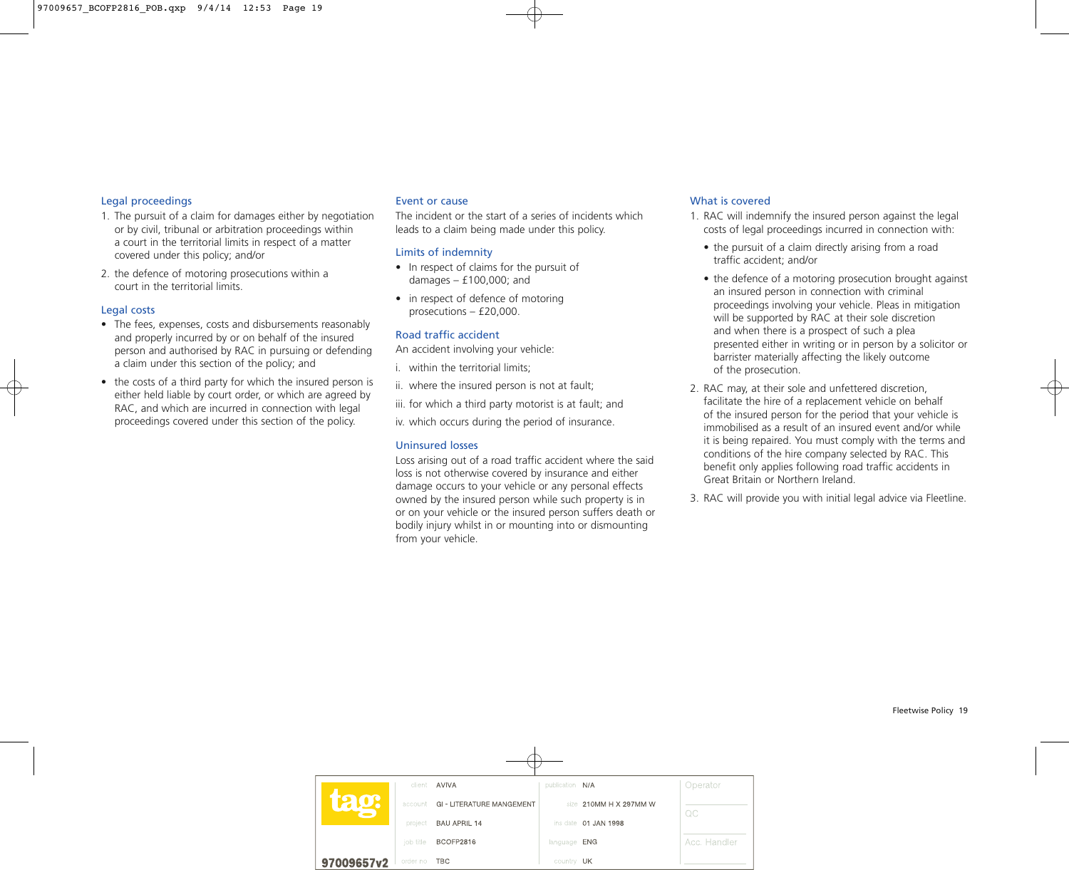#### Legal proceedings

- 1. The pursuit of a claim for damages either by negotiation or by civil, tribunal or arbitration proceedings within a court in the territorial limits in respect of a matter covered under this policy; and/or
- 2. the defence of motoring prosecutions within a court in the territorial limits.

#### Legal costs

- The fees, expenses, costs and disbursements reasonably and properly incurred by or on behalf of the insured person and authorised by RAC in pursuing or defending a claim under this section of the policy; and
- the costs of a third party for which the insured person is either held liable by court order, or which are agreed by RAC, and which are incurred in connection with legal proceedings covered under this section of the policy.

#### Event or cause

The incident or the start of a series of incidents which leads to a claim being made under this policy.

#### Limits of indemnity

- In respect of claims for the pursuit of damages  $- f100,000$ ; and
- in respect of defence of motoring prosecutions  $- f20,000$ .

#### Road traffic accident

An accident involving your vehicle:

- i. within the territorial limits;
- ii. where the insured person is not at fault;
- iii. for which a third party motorist is at fault; and

iv. which occurs during the period of insurance.

## Uninsured losses

Loss arising out of a road traffic accident where the said loss is not otherwise covered by insurance and either damage occurs to your vehicle or any personal effects owned by the insured person while such property is in or on your vehicle or the insured person suffers death or bodily injury whilst in or mounting into or dismounting from your vehicle.

## What is covered

- 1. RAC will indemnify the insured person against the legal costs of legal proceedings incurred in connection with:
	- $\bullet$  the pursuit of a claim directly arising from a road traffic accident; and/or
	- $\bullet$  the defence of a motoring prosecution brought against an insured person in connection with criminal proceedings involving your vehicle. Pleas in mitigation will be supported by RAC at their sole discretion and when there is a prospect of such a plea presented either in writing or in person by a solicitor or barrister materially affecting the likely outcome of the prosecution.
- 2. RAC may, at their sole and unfettered discretion, facilitate the hire of a replacement vehicle on behalf of the insured person for the period that your vehicle is immobilised as a result of an insured event and/or while it is being repaired. You must comply with the terms and conditions of the hire company selected by RAC. This benefit only applies following road traffic accidents in Great Britain or Northern Ireland.
- 3. RAC will provide you with initial legal advice via Fleetline.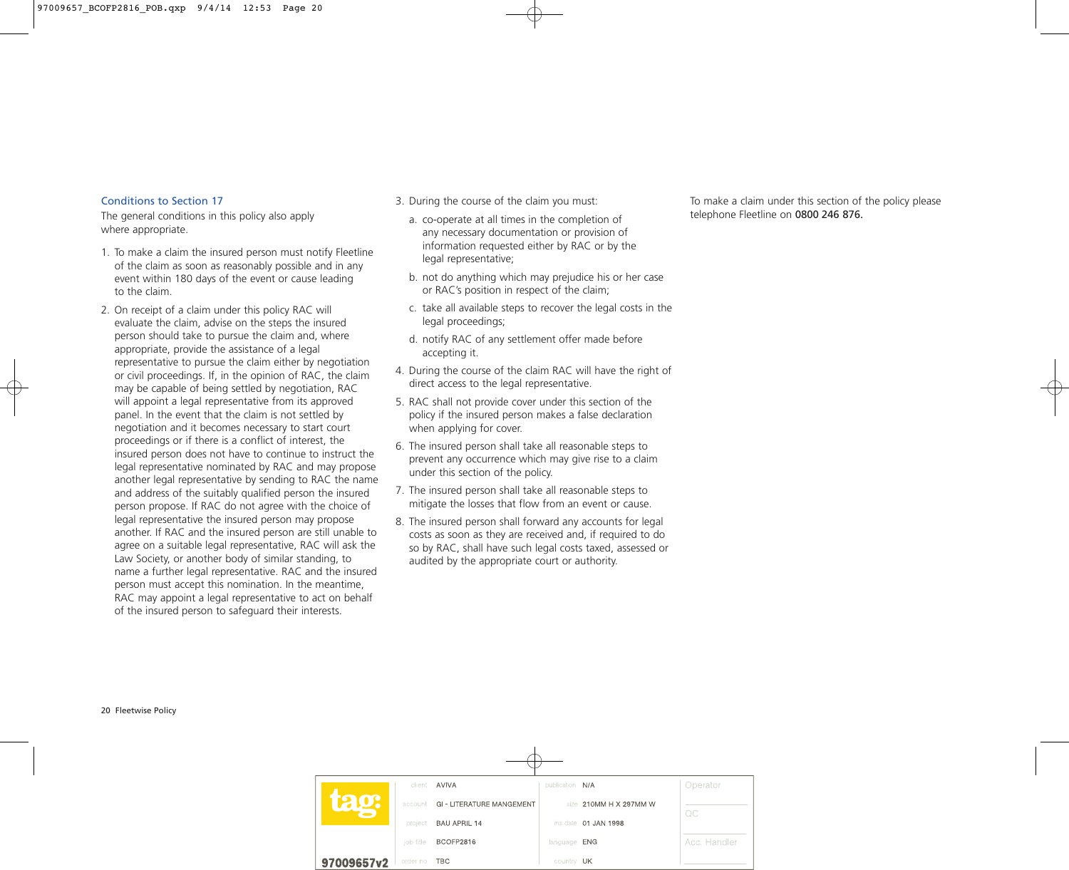#### Conditions to Section 17

The general conditions in this policy also apply where appropriate.

- 1. To make a claim the insured person must notify Fleetline of the claim as soon as reasonably possible and in any event within 180 days of the event or cause leading to the claim.
- 2. On receipt of a claim under this policy RAC will evaluate the claim, advise on the steps the insured person should take to pursue the claim and, where appropriate, provide the assistance of a legal representative to pursue the claim either by negotiation or civil proceedings. If, in the opinion of RAC, the claim may be capable of being settled by negotiation, RAC will appoint a legal representative from its approved panel. In the event that the claim is not settled by negotiation and it becomes necessary to start court proceedings or if there is a conflict of interest, the insured person does not have to continue to instruct the legal representative nominated by RAC and may propose another legal representative by sending to RAC the name and address of the suitably qualified person the insured person propose. If RAC do not agree with the choice of legal representative the insured person may propose another. If RAC and the insured person are still unable to agree on a suitable legal representative, RAC will ask the Law Society, or another body of similar standing, to name a further legal representative. RAC and the insured person must accept this nomination. In the meantime, RAC may appoint a legal representative to act on behalf of the insured person to safeguard their interests.
- 3. During the course of the claim you must:
	- a. co-operate at all times in the completion of any necessary documentation or provision of information requested either by RAC or by the legal representative;
	- b. not do anything which may prejudice his or her case or RAC's position in respect of the claim;
	- c. take all available steps to recover the legal costs in the legal proceedings;
	- d. notify RAC of any settlement offer made before accepting it.
- 4. During the course of the claim RAC will have the right of direct access to the legal representative.
- 5. RAC shall not provide cover under this section of the policy if the insured person makes a false declaration when applying for cover.
- 6. The insured person shall take all reasonable steps to prevent any occurrence which may give rise to a claim under this section of the policy.
- 7. The insured person shall take all reasonable steps to mitigate the losses that flow from an event or cause.
- 8. The insured person shall forward any accounts for legal costs as soon as they are received and, if required to do so by RAC, shall have such legal costs taxed, assessed or audited by the appropriate court or authority.

To make a claim under this section of the policy please telephone Fleetline on 0800 246 876.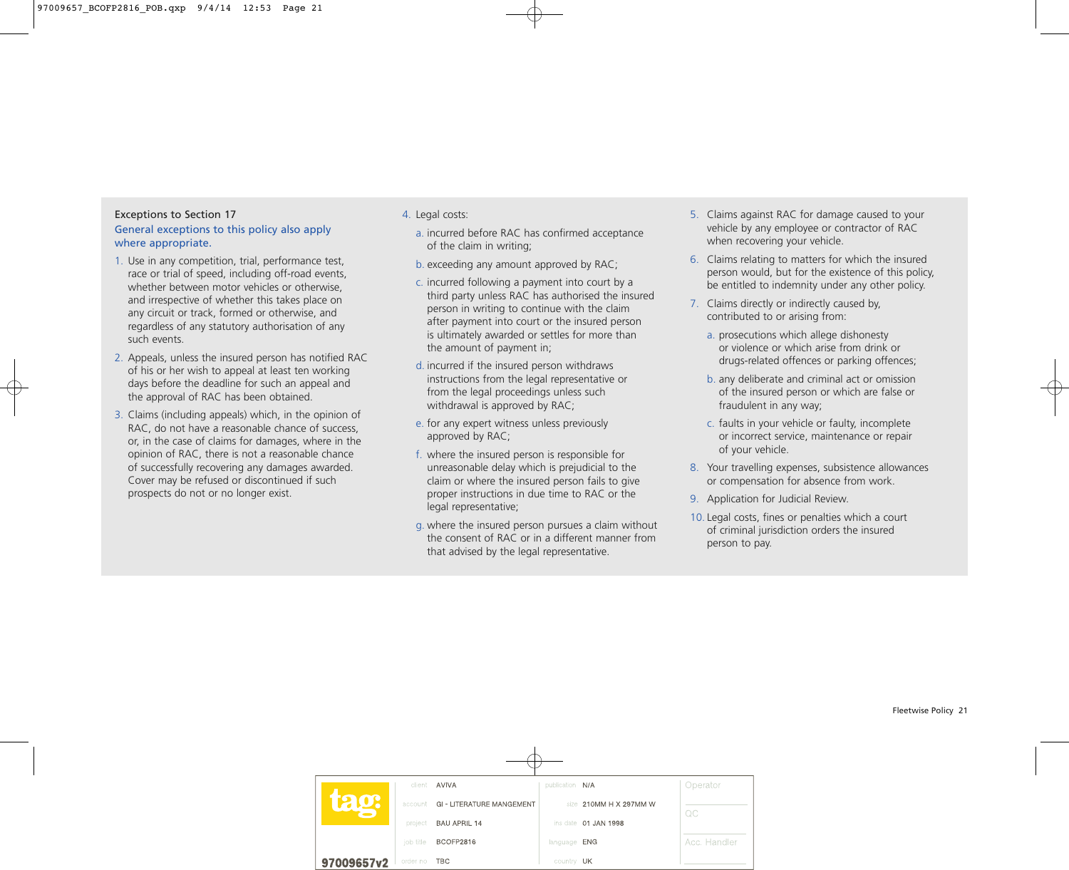# Exceptions to Section 17 General exceptions to this policy also apply where appropriate.

- 1. Use in any competition, trial, performance test, race or trial of speed, including off-road events, whether between motor vehicles or otherwise, and irrespective of whether this takes place on any circuit or track, formed or otherwise, and regardless of any statutory authorisation of any such events.
- 2. Appeals, unless the insured person has notified RAC of his or her wish to appeal at least ten working days before the deadline for such an appeal and the approval of RAC has been obtained.
- 3. Claims (including appeals) which, in the opinion of RAC, do not have a reasonable chance of success, or, in the case of claims for damages, where in the opinion of RAC, there is not a reasonable chance of successfully recovering any damages awarded. Cover may be refused or discontinued if such prospects do not or no longer exist.

## 4. Legal costs:

- a. incurred before RAC has confirmed acceptance of the claim in writing;
- b. exceeding any amount approved by RAC;
- c. incurred following a payment into court by a third party unless RAC has authorised the insured person in writing to continue with the claim after payment into court or the insured person is ultimately awarded or settles for more than the amount of payment in;
- d. incurred if the insured person withdraws instructions from the legal representative or from the legal proceedings unless such withdrawal is approved by RAC;
- e. for any expert witness unless previously approved by RAC;
- f. where the insured person is responsible for unreasonable delay which is prejudicial to the claim or where the insured person fails to give proper instructions in due time to RAC or the legal representative;
- g. where the insured person pursues a claim without the consent of RAC or in a different manner from that advised by the legal representative.
- 5. Claims against RAC for damage caused to your vehicle by any employee or contractor of RAC when recovering your vehicle.
- 6. Claims relating to matters for which the insured person would, but for the existence of this policy, be entitled to indemnity under any other policy.
- 7. Claims directly or indirectly caused by, contributed to or arising from:
	- a. prosecutions which allege dishonesty or violence or which arise from drink or drugs-related offences or parking offences;
	- b. any deliberate and criminal act or omission of the insured person or which are false or fraudulent in any way;
	- c. faults in your vehicle or faulty, incomplete or incorrect service, maintenance or repair of your vehicle.
- 8. Your travelling expenses, subsistence allowances or compensation for absence from work.
- 9. Application for Judicial Review.
- 10. Legal costs, fines or penalties which a court of criminal jurisdiction orders the insured person to pay.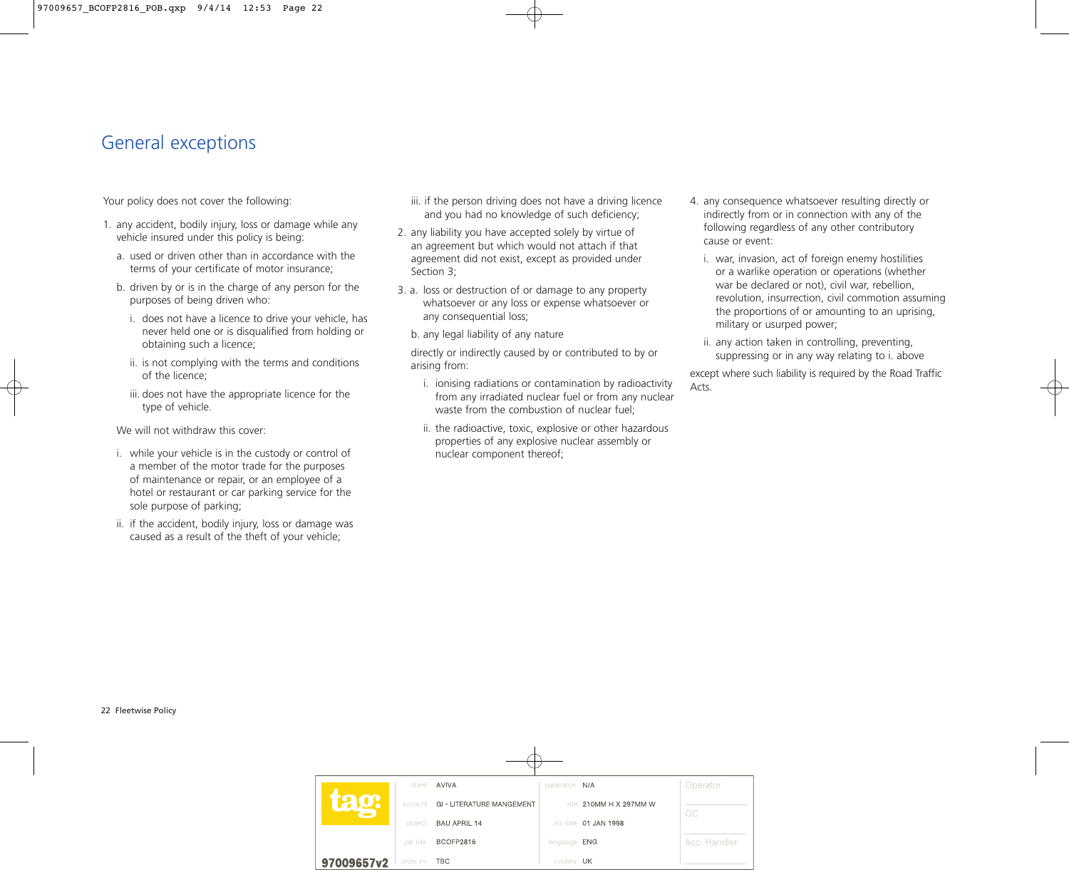# General exceptions

Your policy does not cover the following:

- 1. any accident, bodily injury, loss or damage while any vehicle insured under this policy is being:
	- a. used or driven other than in accordance with the terms of your certificate of motor insurance;
	- b. driven by or is in the charge of any person for the purposes of being driven who:
		- i. does not have a licence to drive your vehicle, has never held one or is disqualified from holding or obtaining such a licence;
		- ii. is not complying with the terms and conditions of the licence;
		- iii. does not have the appropriate licence for the type of vehicle.

We will not withdraw this cover:

- i. while your vehicle is in the custody or control of a member of the motor trade for the purposes of maintenance or repair, or an employee of a hotel or restaurant or car parking service for the sole purpose of parking;
- ii. if the accident, bodily injury, loss or damage was caused as a result of the theft of your vehicle;
- iii. if the person driving does not have a driving licence and you had no knowledge of such deficiency;
- 2. any liability you have accepted solely by virtue of an agreement but which would not attach if that agreement did not exist, except as provided under Section 3;
- 3. a. loss or destruction of or damage to any property whatsoever or any loss or expense whatsoever or any consequential loss;
	- b. any legal liability of any nature

directly or indirectly caused by or contributed to by or arising from:

- i. ionising radiations or contamination by radioactivity from any irradiated nuclear fuel or from any nuclear waste from the combustion of nuclear fuel;
- ii. the radioactive, toxic, explosive or other hazardous properties of any explosive nuclear assembly or nuclear component thereof;
- 4. any consequence whatsoever resulting directly or indirectly from or in connection with any of the following regardless of any other contributory cause or event:
	- i. war, invasion, act of foreign enemy hostilities or a warlike operation or operations (whether war be declared or not), civil war, rebellion, revolution, insurrection, civil commotion assuming the proportions of or amounting to an uprising, military or usurped power;
	- ii. any action taken in controlling, preventing, suppressing or in any way relating to i. above

except where such liability is required by the Road Traffic Acts.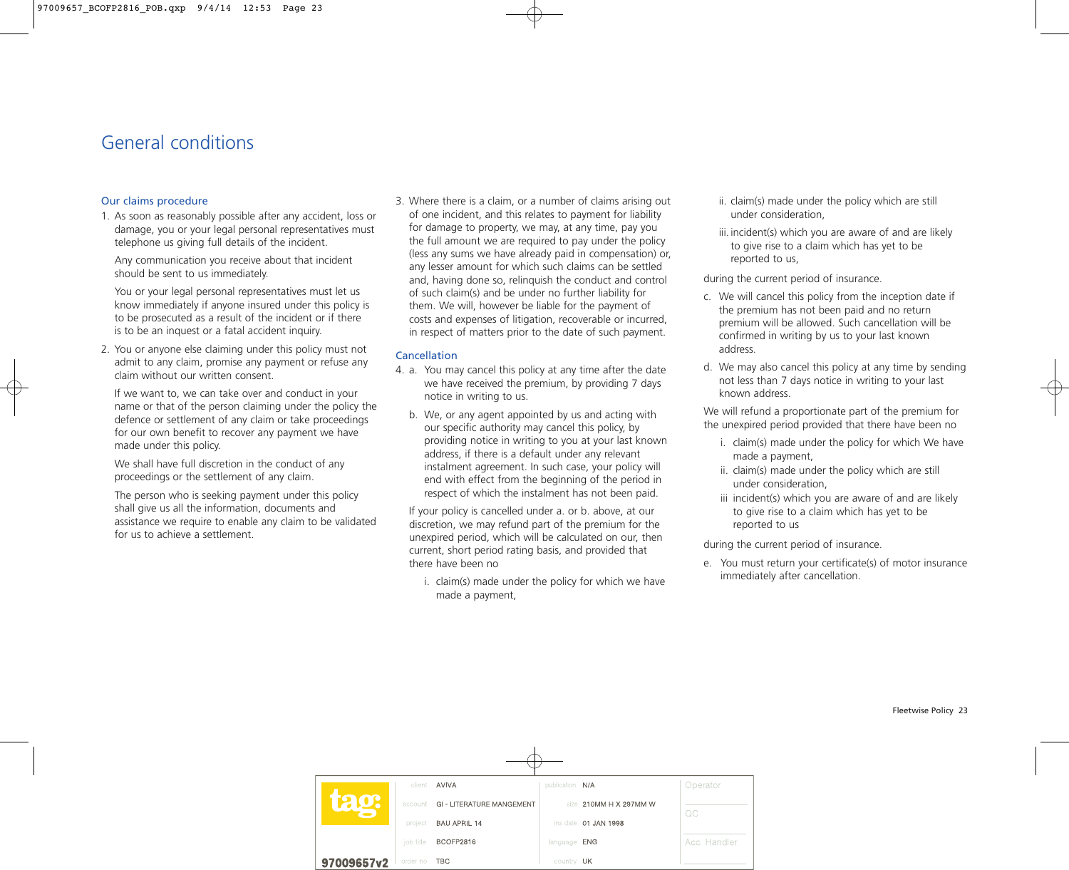# General conditions

#### Our claims procedure

1. As soon as reasonably possible after any accident, loss or damage, you or your legal personal representatives must telephone us giving full details of the incident.

Any communication you receive about that incident should be sent to us immediately.

You or your legal personal representatives must let us know immediately if anyone insured under this policy is to be prosecuted as a result of the incident or if there is to be an inquest or a fatal accident inquiry.

2. You or anyone else claiming under this policy must not admit to any claim, promise any payment or refuse any claim without our written consent.

If we want to, we can take over and conduct in your name or that of the person claiming under the policy the defence or settlement of any claim or take proceedings for our own benefit to recover any payment we have made under this policy.

We shall have full discretion in the conduct of any proceedings or the settlement of any claim.

The person who is seeking payment under this policy shall give us all the information, documents and assistance we require to enable any claim to be validated for us to achieve a settlement.

3. Where there is a claim, or a number of claims arising out of one incident, and this relates to payment for liability for damage to property, we may, at any time, pay you the full amount we are required to pay under the policy (less any sums we have already paid in compensation) or, any lesser amount for which such claims can be settled and, having done so, relinquish the conduct and control of such claim(s) and be under no further liability for them. We will, however be liable for the payment of costs and expenses of litigation, recoverable or incurred, in respect of matters prior to the date of such payment.

## Cancellation

- 4. a. You may cancel this policy at any time after the date we have received the premium, by providing 7 days notice in writing to us.
	- b. We, or any agent appointed by us and acting with our specific authority may cancel this policy, by providing notice in writing to you at your last known address, if there is a default under any relevant instalment agreement. In such case, your policy will end with effect from the beginning of the period in respect of which the instalment has not been paid.

If your policy is cancelled under a. or b. above, at our discretion, we may refund part of the premium for the unexpired period, which will be calculated on our, then current, short period rating basis, and provided that there have been no

i. claim(s) made under the policy for which we have made a payment,

- ii. claim(s) made under the policy which are still under consideration,
- iii. incident(s) which you are aware of and are likely to give rise to a claim which has yet to be reported to us,

during the current period of insurance.

- c. We will cancel this policy from the inception date if the premium has not been paid and no return premium will be allowed. Such cancellation will be confirmed in writing by us to your last known address.
- d. We may also cancel this policy at any time by sending not less than 7 days notice in writing to your last known address.

We will refund a proportionate part of the premium for the unexpired period provided that there have been no

- i. claim(s) made under the policy for which We have made a payment,
- ii. claim(s) made under the policy which are still under consideration,
- iii incident(s) which you are aware of and are likely to give rise to a claim which has yet to be reported to us

during the current period of insurance.

e. You must return your certificate(s) of motor insurance immediately after cancellation.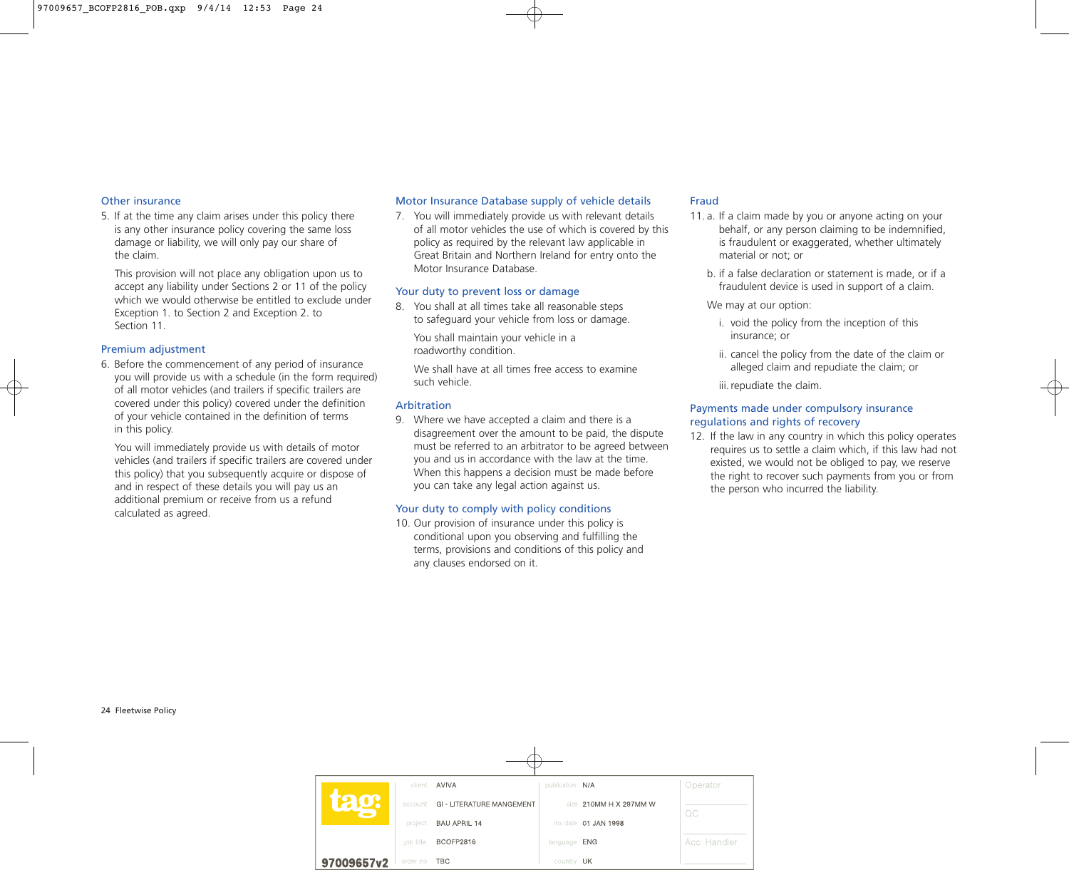#### Other insurance

5. If at the time any claim arises under this policy there is any other insurance policy covering the same loss damage or liability, we will only pay our share of the claim.

This provision will not place any obligation upon us to accept any liability under Sections 2 or 11 of the policy which we would otherwise be entitled to exclude under Exception 1. to Section 2 and Exception 2. to Section 11.

#### Premium adjustment

6. Before the commencement of any period of insurance you will provide us with a schedule (in the form required) of all motor vehicles (and trailers if specific trailers are covered under this policy) covered under the definition of your vehicle contained in the definition of terms in this policy.

You will immediately provide us with details of motor vehicles (and trailers if specific trailers are covered under this policy) that you subsequently acquire or dispose of and in respect of these details you will pay us an additional premium or receive from us a refund calculated as agreed.

#### Motor Insurance Database supply of vehicle details

7. You will immediately provide us with relevant details of all motor vehicles the use of which is covered by this policy as required by the relevant law applicable in Great Britain and Northern Ireland for entry onto the Motor Insurance Database.

#### Your duty to prevent loss or damage

8. You shall at all times take all reasonable steps to safeguard your vehicle from loss or damage.

You shall maintain your vehicle in a roadworthy condition.

We shall have at all times free access to examine such vehicle.

#### Arbitration

9. Where we have accepted a claim and there is a disagreement over the amount to be paid, the dispute must be referred to an arbitrator to be agreed between you and us in accordance with the law at the time. When this happens a decision must be made before you can take any legal action against us.

#### Your duty to comply with policy conditions

10. Our provision of insurance under this policy is conditional upon you observing and fulfilling the terms, provisions and conditions of this policy and any clauses endorsed on it.

#### Fraud

- 11. a. If a claim made by you or anyone acting on your behalf, or any person claiming to be indemnified, is fraudulent or exaggerated, whether ultimately material or not; or
	- b. if a false declaration or statement is made, or if a fraudulent device is used in support of a claim.
	- We may at our option:
		- i. void the policy from the inception of this insurance; or
		- ii. cancel the policy from the date of the claim or alleged claim and repudiate the claim; or

iii. repudiate the claim.

#### Payments made under compulsory insurance regulations and rights of recovery

12. If the law in any country in which this policy operates requires us to settle a claim which, if this law had not existed, we would not be obliged to pay, we reserve the right to recover such payments from you or from the person who incurred the liability.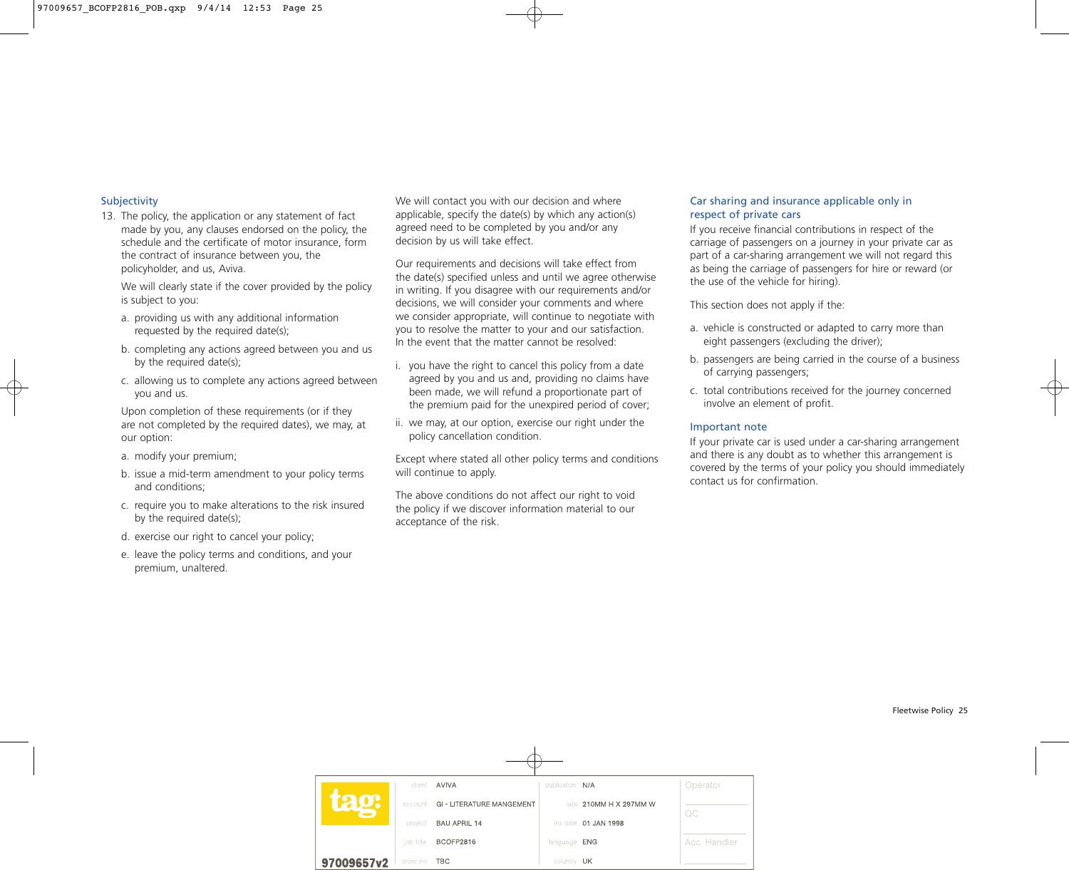## Subjectivity

13. The policy, the application or any statement of fact made by you, any clauses endorsed on the policy, the schedule and the certificate of motor insurance, form the contract of insurance between you, the policyholder, and us, Aviva.

We will clearly state if the cover provided by the policy is subject to you:

- a. providing us with any additional information requested by the required date(s);
- b. completing any actions agreed between you and us by the required date(s);
- c. allowing us to complete any actions agreed between you and us.

Upon completion of these requirements (or if they are not completed by the required dates), we may, at our option:

- a. modify your premium;
- b. issue a mid-term amendment to your policy terms and conditions;
- c. require you to make alterations to the risk insured by the required date(s);
- d. exercise our right to cancel your policy;
- e. leave the policy terms and conditions, and your premium, unaltered.

We will contact you with our decision and where applicable, specify the date(s) by which any action(s) agreed need to be completed by you and/or any decision by us will take effect.

Our requirements and decisions will take effect from the date(s) specified unless and until we agree otherwise in writing. If you disagree with our requirements and/or decisions, we will consider your comments and where we consider appropriate, will continue to negotiate with you to resolve the matter to your and our satisfaction. In the event that the matter cannot be resolved:

- i. you have the right to cancel this policy from a date agreed by you and us and, providing no claims have been made, we will refund a proportionate part of the premium paid for the unexpired period of cover;
- ii. we may, at our option, exercise our right under the policy cancellation condition.

Except where stated all other policy terms and conditions will continue to apply.

The above conditions do not affect our right to void the policy if we discover information material to our acceptance of the risk.

### Car sharing and insurance applicable only in respect of private cars

If you receive financial contributions in respect of the carriage of passengers on a journey in your private car as part of a car-sharing arrangement we will not regard this as being the carriage of passengers for hire or reward (or the use of the vehicle for hiring).

This section does not apply if the:

- a. vehicle is constructed or adapted to carry more than eight passengers (excluding the driver);
- b. passengers are being carried in the course of a business of carrying passengers;
- c. total contributions received for the journey concerned involve an element of profit.

## Important note

If your private car is used under a car-sharing arrangement and there is any doubt as to whether this arrangement is covered by the terms of your policy you should immediately contact us for confirmation.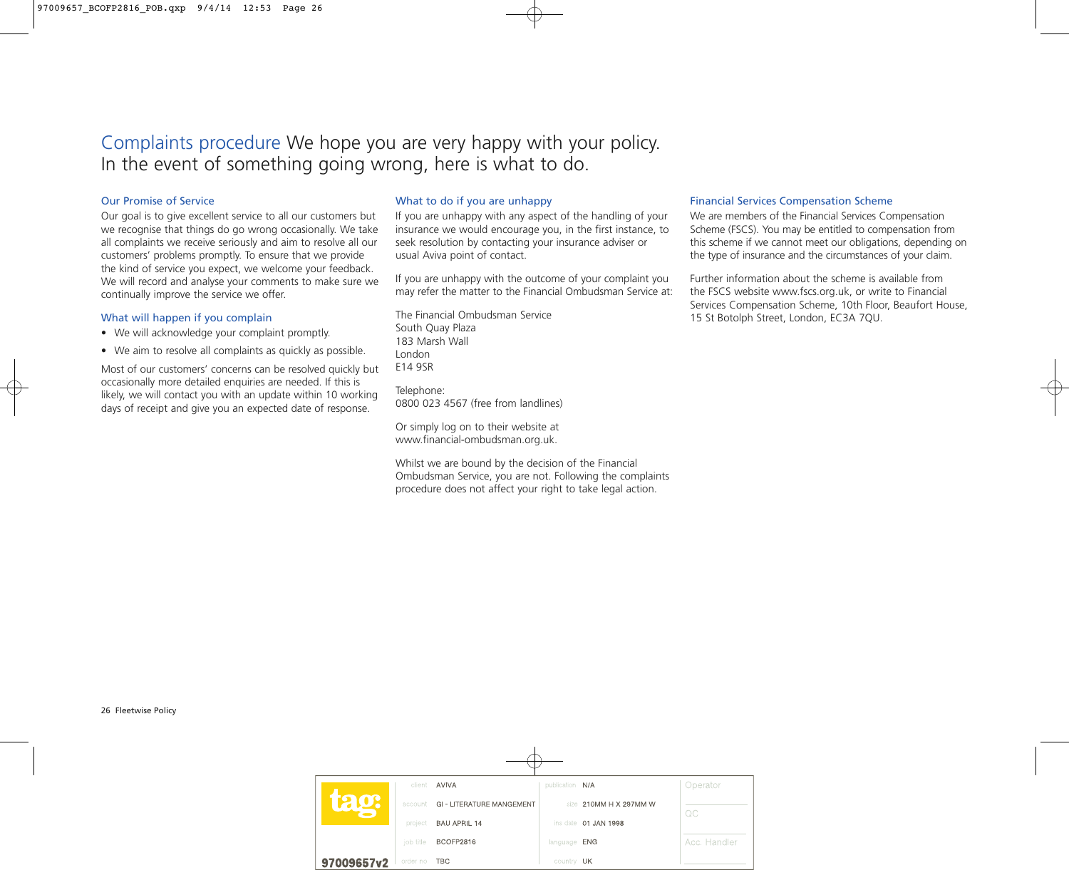# Complaints procedure We hope you are very happy with your policy. In the event of something going wrong, here is what to do.

#### Our Promise of Service

Our goal is to give excellent service to all our customers but we recognise that things do go wrong occasionally. We take all complaints we receive seriously and aim to resolve all our customers' problems promptly. To ensure that we provide the kind of service you expect, we welcome your feedback. We will record and analyse your comments to make sure we continually improve the service we offer.

#### What will happen if you complain

- We will acknowledge your complaint promptly.
- We aim to resolve all complaints as quickly as possible.

Most of our customers' concerns can be resolved quickly but occasionally more detailed enquiries are needed. If this is likely, we will contact you with an update within 10 working days of receipt and give you an expected date of response.

## What to do if you are unhappy

If you are unhappy with any aspect of the handling of your insurance we would encourage you, in the first instance, to seek resolution by contacting your insurance adviser or usual Aviva point of contact.

If you are unhappy with the outcome of your complaint you may refer the matter to the Financial Ombudsman Service at:

The Financial Ombudsman Service South Quay Plaza 183 Marsh Wall London E14 9SR

Telephone: 0800 023 4567 (free from landlines)

Or simply log on to their website at www.financial-ombudsman.org.uk.

Whilst we are bound by the decision of the Financial Ombudsman Service, you are not. Following the complaints procedure does not affect your right to take legal action.

#### Financial Services Compensation Scheme

We are members of the Financial Services Compensation Scheme (FSCS). You may be entitled to compensation from this scheme if we cannot meet our obligations, depending on the type of insurance and the circumstances of your claim.

Further information about the scheme is available from the FSCS website www.fscs.org.uk, or write to Financial Services Compensation Scheme, 10th Floor, Beaufort House, 15 St Botolph Street, London, EC3A 7QU.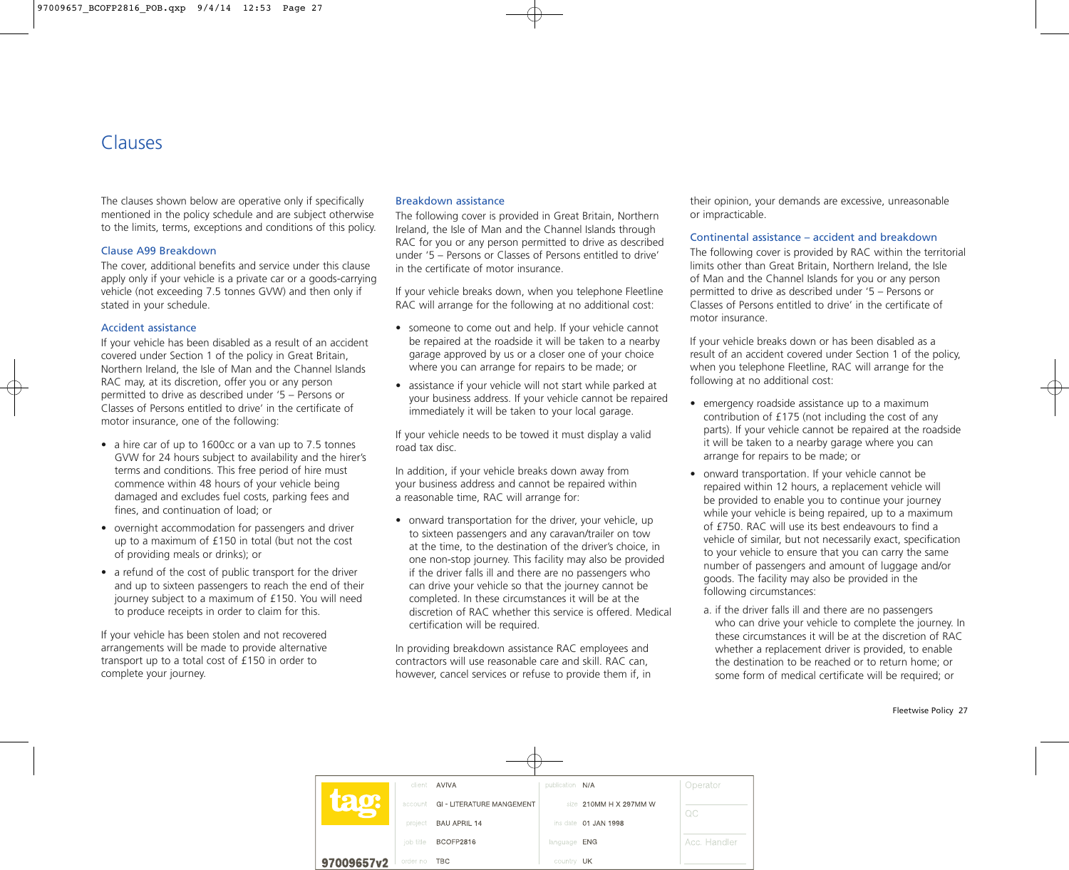# Clauses

The clauses shown below are operative only if specifically mentioned in the policy schedule and are subject otherwise to the limits, terms, exceptions and conditions of this policy.

## Clause A99 Breakdown

The cover, additional benefits and service under this clause apply only if your vehicle is a private car or a goods-carrying vehicle (not exceeding 7.5 tonnes GVW) and then only if stated in your schedule.

#### Accident assistance

If your vehicle has been disabled as a result of an accident covered under Section 1 of the policy in Great Britain, Northern Ireland, the Isle of Man and the Channel Islands RAC may, at its discretion, offer you or any person permitted to drive as described under '5 – Persons or Classes of Persons entitled to drive' in the certificate of motor insurance, one of the following:

- a hire car of up to 1600cc or a van up to 7.5 tonnes GVW for 24 hours subject to availability and the hirer's terms and conditions. This free period of hire must commence within 48 hours of your vehicle being damaged and excludes fuel costs, parking fees and fines, and continuation of load; or
- overnight accommodation for passengers and driver up to a maximum of £150 in total (but not the cost of providing meals or drinks); or
- a refund of the cost of public transport for the driver and up to sixteen passengers to reach the end of their journey subject to a maximum of £150. You will need to produce receipts in order to claim for this.

If your vehicle has been stolen and not recovered arrangements will be made to provide alternative transport up to a total cost of £150 in order to complete your journey.

#### Breakdown assistance

The following cover is provided in Great Britain, Northern Ireland, the Isle of Man and the Channel Islands through RAC for you or any person permitted to drive as described under '5 – Persons or Classes of Persons entitled to drive' in the certificate of motor insurance.

If your vehicle breaks down, when you telephone Fleetline RAC will arrange for the following at no additional cost:

- someone to come out and help. If your vehicle cannot be repaired at the roadside it will be taken to a nearby garage approved by us or a closer one of your choice where you can arrange for repairs to be made; or
- assistance if your vehicle will not start while parked at your business address. If your vehicle cannot be repaired immediately it will be taken to your local garage.

If your vehicle needs to be towed it must display a valid road tax disc.

In addition, if your vehicle breaks down away from your business address and cannot be repaired within a reasonable time, RAC will arrange for:

• onward transportation for the driver, your vehicle, up to sixteen passengers and any caravan/trailer on tow at the time, to the destination of the driver's choice, in one non-stop journey. This facility may also be provided if the driver falls ill and there are no passengers who can drive your vehicle so that the journey cannot be completed. In these circumstances it will be at the discretion of RAC whether this service is offered. Medical certification will be required.

In providing breakdown assistance RAC employees and contractors will use reasonable care and skill. RAC can, however, cancel services or refuse to provide them if, in

their opinion, your demands are excessive, unreasonable or impracticable.

#### Continental assistance – accident and breakdown

The following cover is provided by RAC within the territorial limits other than Great Britain, Northern Ireland, the Isle of Man and the Channel Islands for you or any person permitted to drive as described under '5 – Persons or Classes of Persons entitled to drive' in the certificate of motor insurance.

If your vehicle breaks down or has been disabled as a result of an accident covered under Section 1 of the policy, when you telephone Fleetline, RAC will arrange for the following at no additional cost:

- emergency roadside assistance up to a maximum contribution of £175 (not including the cost of any parts). If your vehicle cannot be repaired at the roadside it will be taken to a nearby garage where you can arrange for repairs to be made; or
- onward transportation. If your vehicle cannot be repaired within 12 hours, a replacement vehicle will be provided to enable you to continue your journey while your vehicle is being repaired, up to a maximum of £750. RAC will use its best endeavours to find a vehicle of similar, but not necessarily exact, specification to your vehicle to ensure that you can carry the same number of passengers and amount of luggage and/or goods. The facility may also be provided in the following circumstances:
	- a. if the driver falls ill and there are no passengers who can drive your vehicle to complete the journey. In these circumstances it will be at the discretion of RAC whether a replacement driver is provided, to enable the destination to be reached or to return home; or some form of medical certificate will be required; or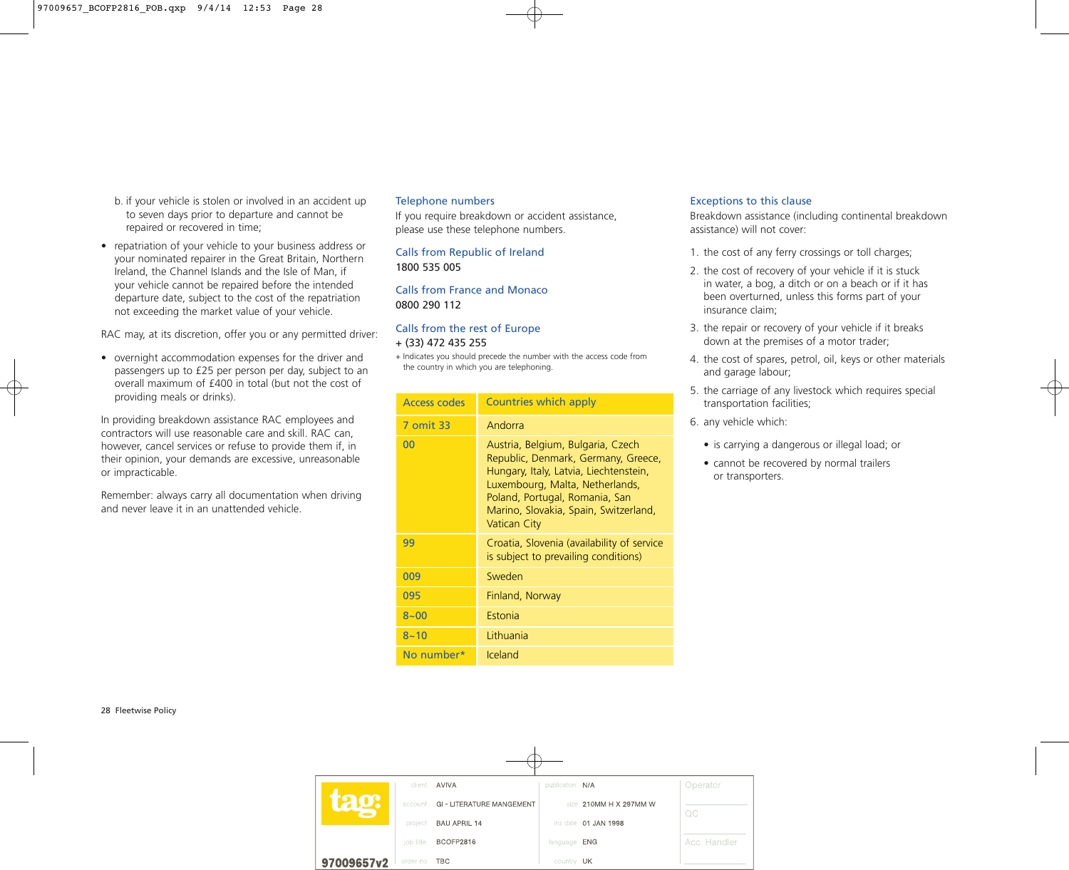- b. if your vehicle is stolen or involved in an accident up to seven days prior to departure and cannot be repaired or recovered in time;
- repatriation of your vehicle to your business address or your nominated repairer in the Great Britain, Northern Ireland, the Channel Islands and the Isle of Man, if your vehicle cannot be repaired before the intended departure date, subject to the cost of the repatriation not exceeding the market value of your vehicle.

RAC may, at its discretion, offer you or any permitted driver:

• overnight accommodation expenses for the driver and passengers up to £25 per person per day, subject to an overall maximum of £400 in total (but not the cost of providing meals or drinks).

In providing breakdown assistance RAC employees and contractors will use reasonable care and skill. RAC can, however, cancel services or refuse to provide them if, in their opinion, your demands are excessive, unreasonable or impracticable.

Remember: always carry all documentation when driving and never leave it in an unattended vehicle.

#### Telephone numbers

If you require breakdown or accident assistance, please use these telephone numbers.

Calls from Republic of Ireland 1800 535 005

Calls from France and Monaco 0800 290 112

# Calls from the rest of Europe

# + (33) 472 435 255

+ Indicates you should precede the number with the access code from the country in which you are telephoning.

| Access codes | <b>Countries which apply</b>                                                                                                                                                                                                                            |
|--------------|---------------------------------------------------------------------------------------------------------------------------------------------------------------------------------------------------------------------------------------------------------|
| 7 omit 33    | Andorra                                                                                                                                                                                                                                                 |
| 00           | Austria, Belgium, Bulgaria, Czech<br>Republic, Denmark, Germany, Greece,<br>Hungary, Italy, Latvia, Liechtenstein,<br>Luxembourg, Malta, Netherlands,<br>Poland, Portugal, Romania, San<br>Marino, Slovakia, Spain, Switzerland,<br><b>Vatican City</b> |
| 99           | Croatia, Slovenia (availability of service<br>is subject to prevailing conditions)                                                                                                                                                                      |
| 009          | Sweden                                                                                                                                                                                                                                                  |
| 095          | Finland, Norway                                                                                                                                                                                                                                         |
| $8 - 00$     | Estonia                                                                                                                                                                                                                                                 |
| $8 - 10$     | Lithuania                                                                                                                                                                                                                                               |
| No number*   | <b>Iceland</b>                                                                                                                                                                                                                                          |

#### Exceptions to this clause

Breakdown assistance (including continental breakdown assistance) will not cover:

- 1. the cost of any ferry crossings or toll charges;
- 2. the cost of recovery of your vehicle if it is stuck in water, a bog, a ditch or on a beach or if it has been overturned, unless this forms part of your insurance claim;
- 3. the repair or recovery of your vehicle if it breaks down at the premises of a motor trader;
- 4. the cost of spares, petrol, oil, keys or other materials and garage labour;
- 5. the carriage of any livestock which requires special transportation facilities;
- 6. any vehicle which:
	- is carrying a dangerous or illegal load; or
	- cannot be recovered by normal trailers or transporters.